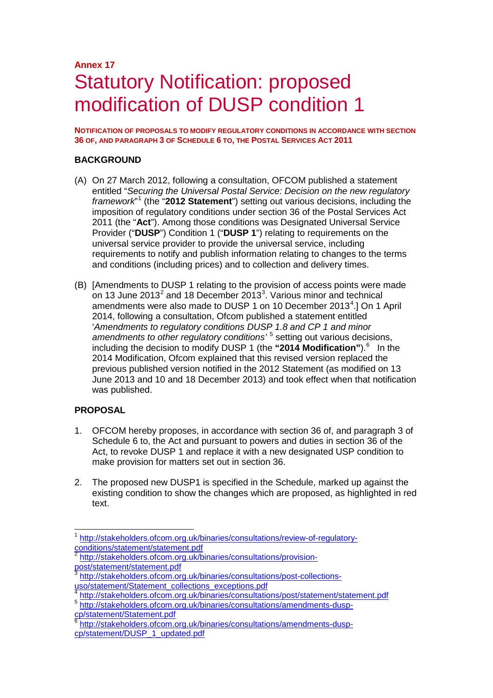## **Annex 17** Statutory Notification: proposed modification of DUSP condition 1

**NOTIFICATION OF PROPOSALS TO MODIFY REGULATORY CONDITIONS IN ACCORDANCE WITH SECTION 36 OF, AND PARAGRAPH 3 OF SCHEDULE 6 TO, THE POSTAL SERVICES ACT 2011**

#### **BACKGROUND**

- (A) On 27 March 2012, following a consultation, OFCOM published a statement entitled "*Securing the Universal Postal Service: Decision on the new regulatory framework*" [1](#page-0-0) (the "**2012 Statement**") setting out various decisions, including the imposition of regulatory conditions under section 36 of the Postal Services Act 2011 (the "**Act**"). Among those conditions was Designated Universal Service Provider ("**DUSP**") Condition 1 ("**DUSP 1**") relating to requirements on the universal service provider to provide the universal service, including requirements to notify and publish information relating to changes to the terms and conditions (including prices) and to collection and delivery times.
- (B) [Amendments to DUSP 1 relating to the provision of access points were made on 13 June [2](#page-0-1)01[3](#page-0-2)<sup>2</sup> and 18 December 2013<sup>3</sup>. Various minor and technical amendments were also made to DUSP 1 on 10 December 2013<sup>[4](#page-0-3)</sup>.] On 1 April 2014, following a consultation, Ofcom published a statement entitled '*Amendments to regulatory conditions DUSP 1.8 and CP 1 and minor amendments to other regulatory conditions'* [5](#page-0-4) setting out various decisions, including the decision to modify DUSP 1 (the "2014 Modification").<sup>[6](#page-0-5)</sup> In the 2014 Modification, Ofcom explained that this revised version replaced the previous published version notified in the 2012 Statement (as modified on 13 June 2013 and 10 and 18 December 2013) and took effect when that notification was published.

#### **PROPOSAL**

- 1. OFCOM hereby proposes, in accordance with section 36 of, and paragraph 3 of Schedule 6 to, the Act and pursuant to powers and duties in section 36 of the Act, to revoke DUSP 1 and replace it with a new designated USP condition to make provision for matters set out in section 36.
- 2. The proposed new DUSP1 is specified in the Schedule, marked up against the existing condition to show the changes which are proposed, as highlighted in red text.

<span id="page-0-4"></span><span id="page-0-3"></span>6 http://stakeholders.ofcom.org.uk/binaries/consultations/amendments-dusp-<br>cp/statement/Statement.pdf

<span id="page-0-0"></span>[http://stakeholders.ofcom.org.uk/binaries/consultations/review-of-regulatory](http://stakeholders.ofcom.org.uk/binaries/consultations/review-of-regulatory-conditions/statement/statement.pdf)[conditions/statement/statement.pdf](http://stakeholders.ofcom.org.uk/binaries/consultations/review-of-regulatory-conditions/statement/statement.pdf)

<span id="page-0-1"></span>[http://stakeholders.ofcom.org.uk/binaries/consultations/provision](http://stakeholders.ofcom.org.uk/binaries/consultations/provision-post/statement/statement.pdf)[post/statement/statement.pdf](http://stakeholders.ofcom.org.uk/binaries/consultations/provision-post/statement/statement.pdf)

<span id="page-0-2"></span>[http://stakeholders.ofcom.org.uk/binaries/consultations/post-collections](http://stakeholders.ofcom.org.uk/binaries/consultations/post-collections-uso/statement/Statement_collections_exceptions.pdf)[uso/statement/Statement\\_collections\\_exceptions.pdf](http://stakeholders.ofcom.org.uk/binaries/consultations/post-collections-uso/statement/Statement_collections_exceptions.pdf)<br>4 http://stakeholders.ofcom.org.uk/binaries/consultations/post/statement/statement.pdf

<span id="page-0-5"></span>[http://stakeholders.ofcom.org.uk/binaries/consultations/amendments-dusp](http://stakeholders.ofcom.org.uk/binaries/consultations/amendments-dusp-cp/statement/DUSP_1_updated.pdf)[cp/statement/DUSP\\_1\\_updated.pdf](http://stakeholders.ofcom.org.uk/binaries/consultations/amendments-dusp-cp/statement/DUSP_1_updated.pdf)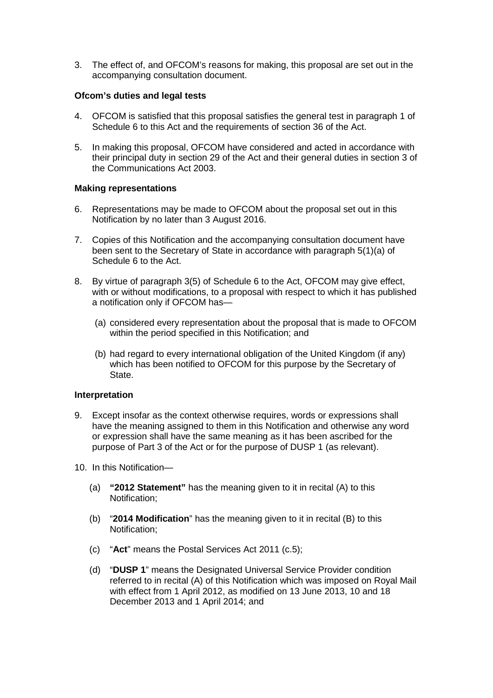3. The effect of, and OFCOM's reasons for making, this proposal are set out in the accompanying consultation document.

#### **Ofcom's duties and legal tests**

- 4. OFCOM is satisfied that this proposal satisfies the general test in paragraph 1 of Schedule 6 to this Act and the requirements of section 36 of the Act.
- 5. In making this proposal, OFCOM have considered and acted in accordance with their principal duty in section 29 of the Act and their general duties in section 3 of the Communications Act 2003.

#### **Making representations**

- 6. Representations may be made to OFCOM about the proposal set out in this Notification by no later than 3 August 2016.
- 7. Copies of this Notification and the accompanying consultation document have been sent to the Secretary of State in accordance with paragraph 5(1)(a) of Schedule 6 to the Act.
- 8. By virtue of paragraph 3(5) of Schedule 6 to the Act, OFCOM may give effect, with or without modifications, to a proposal with respect to which it has published a notification only if OFCOM has—
	- (a) considered every representation about the proposal that is made to OFCOM within the period specified in this Notification; and
	- (b) had regard to every international obligation of the United Kingdom (if any) which has been notified to OFCOM for this purpose by the Secretary of State.

#### **Interpretation**

- 9. Except insofar as the context otherwise requires, words or expressions shall have the meaning assigned to them in this Notification and otherwise any word or expression shall have the same meaning as it has been ascribed for the purpose of Part 3 of the Act or for the purpose of DUSP 1 (as relevant).
- 10. In this Notification—
	- (a) **"2012 Statement"** has the meaning given to it in recital (A) to this Notification;
	- (b) "**2014 Modification**" has the meaning given to it in recital (B) to this Notification;
	- (c) "**Act**" means the Postal Services Act 2011 (c.5);
	- (d) "**DUSP 1**" means the Designated Universal Service Provider condition referred to in recital (A) of this Notification which was imposed on Royal Mail with effect from 1 April 2012, as modified on 13 June 2013, 10 and 18 December 2013 and 1 April 2014; and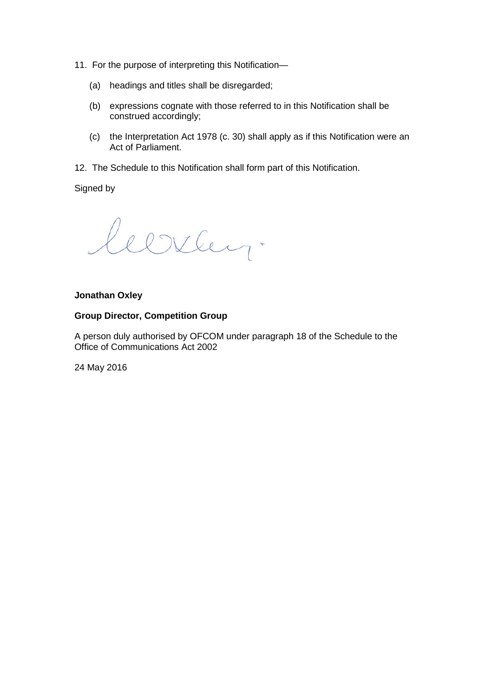- 11. For the purpose of interpreting this Notification—
	- (a) headings and titles shall be disregarded;
	- (b) expressions cognate with those referred to in this Notification shall be construed accordingly;
	- (c) the Interpretation Act 1978 (c. 30) shall apply as if this Notification were an Act of Parliament.
- 12. The Schedule to this Notification shall form part of this Notification.

Signed by

leerley.

#### **Jonathan Oxley**

#### **Group Director, Competition Group**

A person duly authorised by OFCOM under paragraph 18 of the Schedule to the Office of Communications Act 2002

24 May 2016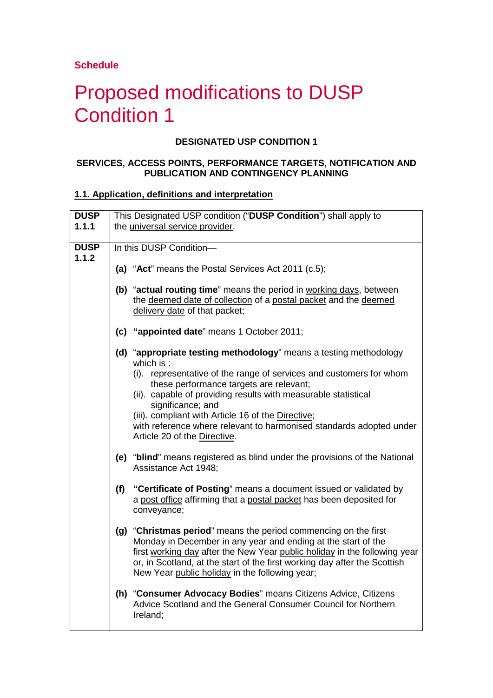## **Schedule**

# Proposed modifications to DUSP Condition 1

### **DESIGNATED USP CONDITION 1**

#### **SERVICES, ACCESS POINTS, PERFORMANCE TARGETS, NOTIFICATION AND PUBLICATION AND CONTINGENCY PLANNING**

#### **1.1. Application, definitions and interpretation**

| <b>DUSP</b>          | This Designated USP condition ("DUSP Condition") shall apply to                                                                                                                                                                                                                                                                              |
|----------------------|----------------------------------------------------------------------------------------------------------------------------------------------------------------------------------------------------------------------------------------------------------------------------------------------------------------------------------------------|
| 1.1.1                | the universal service provider.                                                                                                                                                                                                                                                                                                              |
|                      |                                                                                                                                                                                                                                                                                                                                              |
| <b>DUSP</b><br>1.1.2 | In this DUSP Condition-                                                                                                                                                                                                                                                                                                                      |
|                      | (a) "Act" means the Postal Services Act 2011 (c.5);                                                                                                                                                                                                                                                                                          |
|                      | (b) "actual routing time" means the period in working days, between<br>the deemed date of collection of a postal packet and the deemed<br>delivery date of that packet;                                                                                                                                                                      |
|                      | (c) "appointed date" means 1 October 2011;                                                                                                                                                                                                                                                                                                   |
|                      | (d) "appropriate testing methodology" means a testing methodology<br>which is:                                                                                                                                                                                                                                                               |
|                      | (i). representative of the range of services and customers for whom<br>these performance targets are relevant;                                                                                                                                                                                                                               |
|                      | (ii). capable of providing results with measurable statistical<br>significance; and                                                                                                                                                                                                                                                          |
|                      | (iii). compliant with Article 16 of the Directive;<br>with reference where relevant to harmonised standards adopted under<br>Article 20 of the Directive.                                                                                                                                                                                    |
|                      | (e) "blind" means registered as blind under the provisions of the National<br>Assistance Act 1948;                                                                                                                                                                                                                                           |
|                      | (f) "Certificate of Posting" means a document issued or validated by<br>a post office affirming that a postal packet has been deposited for<br>conveyance;                                                                                                                                                                                   |
|                      | (g) "Christmas period" means the period commencing on the first<br>Monday in December in any year and ending at the start of the<br>first working day after the New Year public holiday in the following year<br>or, in Scotland, at the start of the first working day after the Scottish<br>New Year public holiday in the following year; |
|                      | (h) "Consumer Advocacy Bodies" means Citizens Advice, Citizens<br>Advice Scotland and the General Consumer Council for Northern<br>Ireland;                                                                                                                                                                                                  |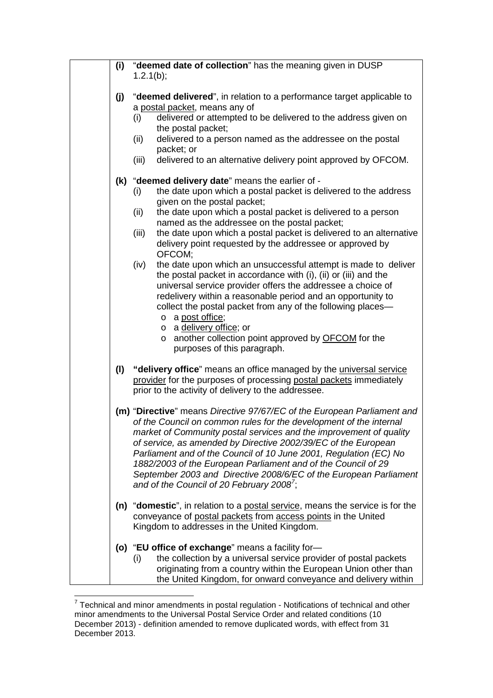| (i) | "deemed date of collection" has the meaning given in DUSP<br>1.2.1(b);                       |
|-----|----------------------------------------------------------------------------------------------|
| (j) | "deemed delivered", in relation to a performance target applicable to                        |
|     | a postal packet, means any of                                                                |
|     | delivered or attempted to be delivered to the address given on<br>(i)                        |
|     | the postal packet;                                                                           |
|     | delivered to a person named as the addressee on the postal<br>(ii)                           |
|     | packet; or                                                                                   |
|     | delivered to an alternative delivery point approved by OFCOM.<br>(iii)                       |
|     | (k) "deemed delivery date" means the earlier of -                                            |
|     | the date upon which a postal packet is delivered to the address<br>(i)                       |
|     | given on the postal packet;                                                                  |
|     | the date upon which a postal packet is delivered to a person<br>(ii)                         |
|     | named as the addressee on the postal packet;                                                 |
|     | the date upon which a postal packet is delivered to an alternative<br>(iii)                  |
|     | delivery point requested by the addressee or approved by<br>OFCOM;                           |
|     | the date upon which an unsuccessful attempt is made to deliver<br>(iv)                       |
|     | the postal packet in accordance with (i), (ii) or (iii) and the                              |
|     | universal service provider offers the addressee a choice of                                  |
|     | redelivery within a reasonable period and an opportunity to                                  |
|     | collect the postal packet from any of the following places-                                  |
|     | o a post office;                                                                             |
|     | o a delivery office; or                                                                      |
|     | another collection point approved by OFCOM for the<br>$\circ$<br>purposes of this paragraph. |
|     |                                                                                              |
| (1) | "delivery office" means an office managed by the universal service                           |
|     | provider for the purposes of processing postal packets immediately                           |
|     | prior to the activity of delivery to the addressee.                                          |
|     | (m) "Directive" means Directive 97/67/EC of the European Parliament and                      |
|     | of the Council on common rules for the development of the internal                           |
|     | market of Community postal services and the improvement of quality                           |
|     | of service, as amended by Directive 2002/39/EC of the European                               |
|     | Parliament and of the Council of 10 June 2001, Regulation (EC) No                            |
|     | 1882/2003 of the European Parliament and of the Council of 29                                |
|     | September 2003 and Directive 2008/6/EC of the European Parliament                            |
|     | and of the Council of 20 February 2008';                                                     |
|     | (n) "domestic", in relation to a postal service, means the service is for the                |
|     | conveyance of postal packets from access points in the United                                |
|     | Kingdom to addresses in the United Kingdom.                                                  |
|     | (o) "EU office of exchange" means a facility for-                                            |
|     | the collection by a universal service provider of postal packets<br>(i)                      |
|     | originating from a country within the European Union other than                              |
|     | the United Kingdom, for onward conveyance and delivery within                                |

<span id="page-4-0"></span><sup>————————————————————&</sup>lt;br><sup>7</sup> Technical and minor amendments in postal regulation - Notifications of technical and other minor amendments to the Universal Postal Service Order and related conditions (10 December 2013) - definition amended to remove duplicated words, with effect from 31 December 2013.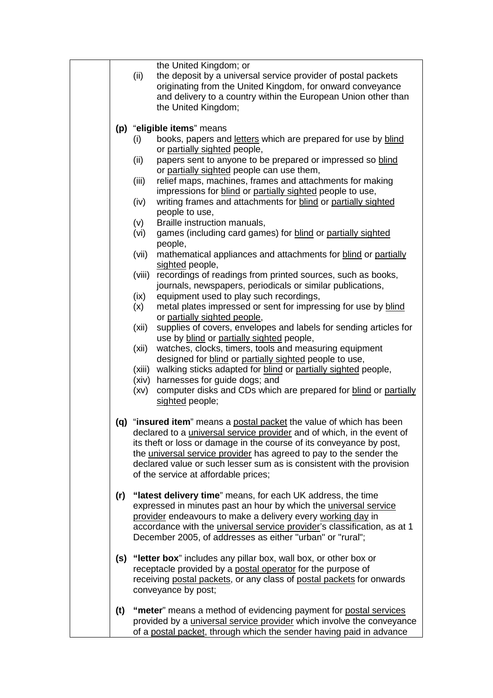|     | the United Kingdom; or<br>the deposit by a universal service provider of postal packets<br>(ii)<br>originating from the United Kingdom, for onward conveyance<br>and delivery to a country within the European Union other than<br>the United Kingdom; |
|-----|--------------------------------------------------------------------------------------------------------------------------------------------------------------------------------------------------------------------------------------------------------|
|     | (p) "eligible items" means                                                                                                                                                                                                                             |
|     | books, papers and letters which are prepared for use by blind<br>(i)                                                                                                                                                                                   |
|     | or partially sighted people,<br>papers sent to anyone to be prepared or impressed so blind<br>(ii)                                                                                                                                                     |
|     | or partially sighted people can use them,                                                                                                                                                                                                              |
|     | relief maps, machines, frames and attachments for making<br>(iii)                                                                                                                                                                                      |
|     | impressions for blind or partially sighted people to use,                                                                                                                                                                                              |
|     | writing frames and attachments for blind or partially sighted<br>(iv)                                                                                                                                                                                  |
|     | people to use,                                                                                                                                                                                                                                         |
|     | Braille instruction manuals,<br>(v)                                                                                                                                                                                                                    |
|     | games (including card games) for blind or partially sighted<br>(vi)<br>people,                                                                                                                                                                         |
|     | (vii)<br>mathematical appliances and attachments for blind or partially                                                                                                                                                                                |
|     | sighted people,                                                                                                                                                                                                                                        |
|     | (viii)<br>recordings of readings from printed sources, such as books,                                                                                                                                                                                  |
|     | journals, newspapers, periodicals or similar publications,<br>equipment used to play such recordings,<br>(ix)                                                                                                                                          |
|     | metal plates impressed or sent for impressing for use by blind<br>(x)                                                                                                                                                                                  |
|     | or partially sighted people,                                                                                                                                                                                                                           |
|     | supplies of covers, envelopes and labels for sending articles for<br>(xii)                                                                                                                                                                             |
|     | use by blind or partially sighted people,                                                                                                                                                                                                              |
|     | watches, clocks, timers, tools and measuring equipment<br>(xii)                                                                                                                                                                                        |
|     | designed for blind or partially sighted people to use,<br>walking sticks adapted for blind or partially sighted people,<br>(xiii)                                                                                                                      |
|     | harnesses for guide dogs; and<br>(xiv)                                                                                                                                                                                                                 |
|     | computer disks and CDs which are prepared for blind or partially<br>(xv)                                                                                                                                                                               |
|     | sighted people;                                                                                                                                                                                                                                        |
|     | (q) "insured item" means a postal packet the value of which has been                                                                                                                                                                                   |
|     | declared to a <i>universal service provider</i> and of which, in the event of                                                                                                                                                                          |
|     | its theft or loss or damage in the course of its conveyance by post,                                                                                                                                                                                   |
|     | the universal service provider has agreed to pay to the sender the                                                                                                                                                                                     |
|     | declared value or such lesser sum as is consistent with the provision<br>of the service at affordable prices;                                                                                                                                          |
|     |                                                                                                                                                                                                                                                        |
| (r) | "latest delivery time" means, for each UK address, the time                                                                                                                                                                                            |
|     | expressed in minutes past an hour by which the universal service                                                                                                                                                                                       |
|     | provider endeavours to make a delivery every working day in                                                                                                                                                                                            |
|     | accordance with the <i>universal service provider's</i> classification, as at 1<br>December 2005, of addresses as either "urban" or "rural";                                                                                                           |
|     |                                                                                                                                                                                                                                                        |
|     | (s) "letter box" includes any pillar box, wall box, or other box or                                                                                                                                                                                    |
|     | receptacle provided by a postal operator for the purpose of                                                                                                                                                                                            |
|     | receiving postal packets, or any class of postal packets for onwards                                                                                                                                                                                   |
|     | conveyance by post;                                                                                                                                                                                                                                    |
| (t) | "meter" means a method of evidencing payment for postal services                                                                                                                                                                                       |
|     | provided by a <i>universal service provider</i> which involve the conveyance                                                                                                                                                                           |
|     | of a postal packet, through which the sender having paid in advance                                                                                                                                                                                    |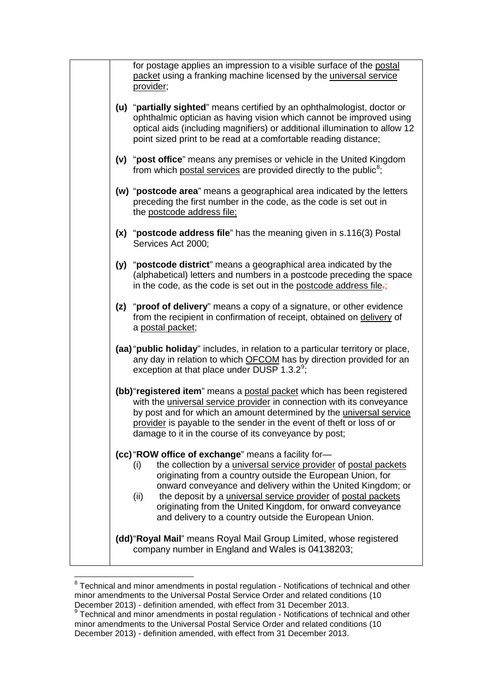|  | for postage applies an impression to a visible surface of the postal<br>packet using a franking machine licensed by the universal service<br>provider;                                                                                                                                                                                                                                                                                                                     |
|--|----------------------------------------------------------------------------------------------------------------------------------------------------------------------------------------------------------------------------------------------------------------------------------------------------------------------------------------------------------------------------------------------------------------------------------------------------------------------------|
|  | (u) "partially sighted" means certified by an ophthalmologist, doctor or<br>ophthalmic optician as having vision which cannot be improved using<br>optical aids (including magnifiers) or additional illumination to allow 12<br>point sized print to be read at a comfortable reading distance;                                                                                                                                                                           |
|  | (v) "post office" means any premises or vehicle in the United Kingdom<br>from which postal services are provided directly to the public <sup>8</sup> ;                                                                                                                                                                                                                                                                                                                     |
|  | (w) "postcode area" means a geographical area indicated by the letters<br>preceding the first number in the code, as the code is set out in<br>the postcode address file;                                                                                                                                                                                                                                                                                                  |
|  | (x) "postcode address file" has the meaning given in s.116(3) Postal<br>Services Act 2000;                                                                                                                                                                                                                                                                                                                                                                                 |
|  | (y) "postcode district" means a geographical area indicated by the<br>(alphabetical) letters and numbers in a postcode preceding the space<br>in the code, as the code is set out in the postcode address file-;                                                                                                                                                                                                                                                           |
|  | (z) "proof of delivery" means a copy of a signature, or other evidence<br>from the recipient in confirmation of receipt, obtained on delivery of<br>a postal packet;                                                                                                                                                                                                                                                                                                       |
|  | (aa) "public holiday" includes, in relation to a particular territory or place,<br>any day in relation to which OFCOM has by direction provided for an<br>exception at that place under DUSP $1.3.2^9$ ;                                                                                                                                                                                                                                                                   |
|  | (bb) "registered item" means a postal packet which has been registered<br>with the <i>universal service provider</i> in connection with its conveyance<br>by post and for which an amount determined by the universal service<br>provider is payable to the sender in the event of theft or loss of or<br>damage to it in the course of its conveyance by post;                                                                                                            |
|  | (cc) "ROW office of exchange" means a facility for-<br>the collection by a <i>universal service provider</i> of postal packets<br>(i)<br>originating from a country outside the European Union, for<br>onward conveyance and delivery within the United Kingdom; or<br>the deposit by a <i>universal service provider</i> of postal packets<br>(ii)<br>originating from the United Kingdom, for onward conveyance<br>and delivery to a country outside the European Union. |
|  | (dd) "Royal Mail" means Royal Mail Group Limited, whose registered<br>company number in England and Wales is 04138203;                                                                                                                                                                                                                                                                                                                                                     |

<span id="page-6-0"></span> $8$  Technical and minor amendments in postal regulation - Notifications of technical and other minor amendments to the Universal Postal Service Order and related conditions (10 December 2013) - definition amended, with effect from 31 December 2013.

<span id="page-6-1"></span> $9$  Technical and minor amendments in postal regulation - Notifications of technical and other minor amendments to the Universal Postal Service Order and related conditions (10 December 2013) - definition amended, with effect from 31 December 2013.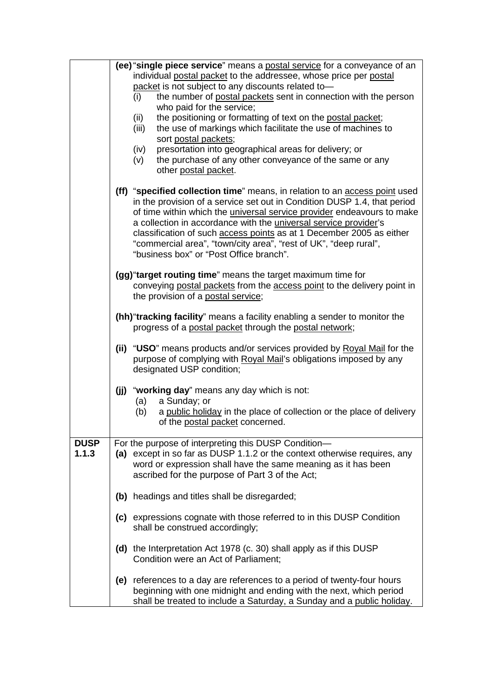|             |     | (ee) "single piece service" means a postal service for a conveyance of an                                                                               |
|-------------|-----|---------------------------------------------------------------------------------------------------------------------------------------------------------|
|             |     | individual postal packet to the addressee, whose price per postal                                                                                       |
|             |     | packet is not subject to any discounts related to-<br>the number of postal packets sent in connection with the person<br>(i)                            |
|             |     | who paid for the service;                                                                                                                               |
|             |     | the positioning or formatting of text on the postal packet;<br>(ii)                                                                                     |
|             |     | the use of markings which facilitate the use of machines to<br>(iii)                                                                                    |
|             |     | sort postal packets;                                                                                                                                    |
|             |     | presortation into geographical areas for delivery; or<br>(iv)<br>the purchase of any other conveyance of the same or any                                |
|             |     | (v)<br>other postal packet.                                                                                                                             |
|             |     |                                                                                                                                                         |
|             |     | (ff) "specified collection time" means, in relation to an access point used<br>in the provision of a service set out in Condition DUSP 1.4, that period |
|             |     | of time within which the <i>universal service provider</i> endeavours to make<br>a collection in accordance with the universal service provider's       |
|             |     | classification of such access points as at 1 December 2005 as either                                                                                    |
|             |     | "commercial area", "town/city area", "rest of UK", "deep rural",                                                                                        |
|             |     | "business box" or "Post Office branch".                                                                                                                 |
|             |     | (gg) "target routing time" means the target maximum time for                                                                                            |
|             |     | conveying postal packets from the access point to the delivery point in                                                                                 |
|             |     | the provision of a postal service;                                                                                                                      |
|             |     | (hh) "tracking facility" means a facility enabling a sender to monitor the                                                                              |
|             |     | progress of a postal packet through the postal network;                                                                                                 |
|             |     | (ii) "USO" means products and/or services provided by Royal Mail for the                                                                                |
|             |     | purpose of complying with Royal Mail's obligations imposed by any                                                                                       |
|             |     | designated USP condition;                                                                                                                               |
|             | (i) | "working day" means any day which is not:                                                                                                               |
|             |     | a Sunday; or<br>(a)                                                                                                                                     |
|             |     | (b)<br>a public holiday in the place of collection or the place of delivery                                                                             |
|             |     | of the postal packet concerned.                                                                                                                         |
| <b>DUSP</b> |     | For the purpose of interpreting this DUSP Condition-                                                                                                    |
| 1.1.3       |     | (a) except in so far as DUSP 1.1.2 or the context otherwise requires, any                                                                               |
|             |     | word or expression shall have the same meaning as it has been                                                                                           |
|             |     | ascribed for the purpose of Part 3 of the Act;                                                                                                          |
|             |     | (b) headings and titles shall be disregarded;                                                                                                           |
|             |     |                                                                                                                                                         |
|             |     | (c) expressions cognate with those referred to in this DUSP Condition<br>shall be construed accordingly;                                                |
|             |     |                                                                                                                                                         |
|             |     | (d) the Interpretation Act 1978 (c. 30) shall apply as if this DUSP                                                                                     |
|             |     | Condition were an Act of Parliament;                                                                                                                    |
|             |     | (e) references to a day are references to a period of twenty-four hours                                                                                 |
|             |     | beginning with one midnight and ending with the next, which period                                                                                      |
|             |     | shall be treated to include a Saturday, a Sunday and a public holiday.                                                                                  |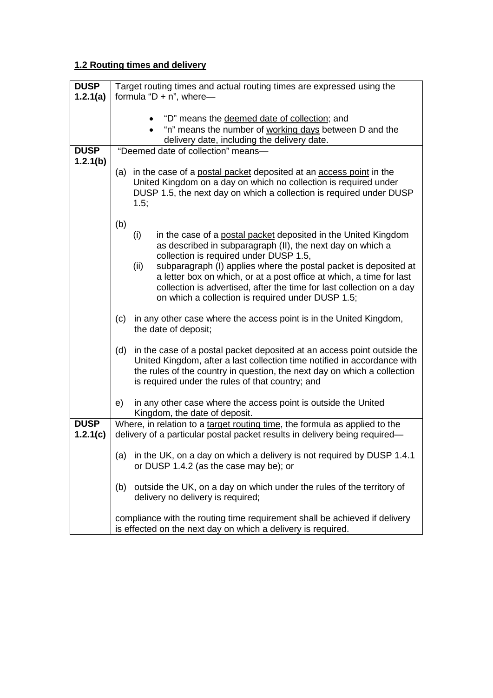## **1.2 Routing times and delivery**

| <b>DUSP</b> | Target routing times and actual routing times are expressed using the                                                               |
|-------------|-------------------------------------------------------------------------------------------------------------------------------------|
| 1.2.1(a)    | formula " $D + n$ ", where-                                                                                                         |
|             |                                                                                                                                     |
|             | "D" means the deemed date of collection; and                                                                                        |
|             | "n" means the number of working days between D and the                                                                              |
| <b>DUSP</b> | delivery date, including the delivery date.<br>"Deemed date of collection" means-                                                   |
| 1.2.1(b)    |                                                                                                                                     |
|             | (a) in the case of a postal packet deposited at an access point in the                                                              |
|             | United Kingdom on a day on which no collection is required under                                                                    |
|             | DUSP 1.5, the next day on which a collection is required under DUSP                                                                 |
|             | 1.5;                                                                                                                                |
|             |                                                                                                                                     |
|             | (b)                                                                                                                                 |
|             | in the case of a postal packet deposited in the United Kingdom<br>(i)<br>as described in subparagraph (II), the next day on which a |
|             | collection is required under DUSP 1.5,                                                                                              |
|             | subparagraph (I) applies where the postal packet is deposited at<br>(ii)                                                            |
|             | a letter box on which, or at a post office at which, a time for last                                                                |
|             | collection is advertised, after the time for last collection on a day                                                               |
|             | on which a collection is required under DUSP 1.5;                                                                                   |
|             | in any other case where the access point is in the United Kingdom,<br>(c)                                                           |
|             | the date of deposit;                                                                                                                |
|             |                                                                                                                                     |
|             | in the case of a postal packet deposited at an access point outside the<br>(d)                                                      |
|             | United Kingdom, after a last collection time notified in accordance with                                                            |
|             | the rules of the country in question, the next day on which a collection                                                            |
|             | is required under the rules of that country; and                                                                                    |
|             | in any other case where the access point is outside the United<br>e)                                                                |
|             | Kingdom, the date of deposit.                                                                                                       |
| <b>DUSP</b> | Where, in relation to a target routing time, the formula as applied to the                                                          |
| 1.2.1(c)    | delivery of a particular postal packet results in delivery being required-                                                          |
|             |                                                                                                                                     |
|             | (a)<br>in the UK, on a day on which a delivery is not required by DUSP 1.4.1<br>or DUSP 1.4.2 (as the case may be); or              |
|             |                                                                                                                                     |
|             | outside the UK, on a day on which under the rules of the territory of<br>(b)                                                        |
|             | delivery no delivery is required;                                                                                                   |
|             |                                                                                                                                     |
|             | compliance with the routing time requirement shall be achieved if delivery                                                          |
|             | is effected on the next day on which a delivery is required.                                                                        |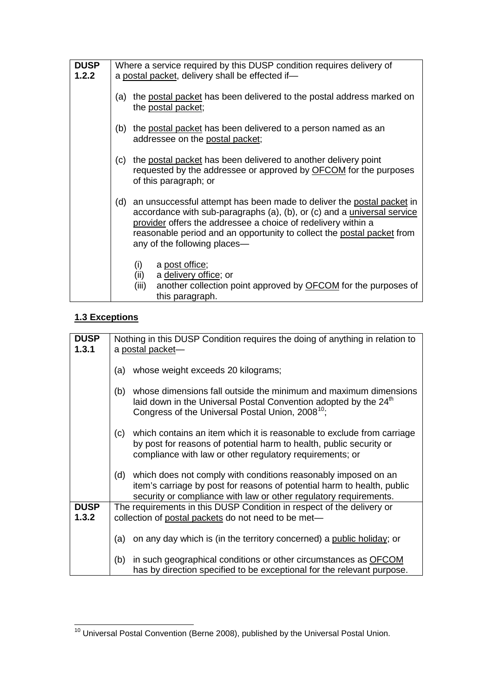| <b>DUSP</b><br>1.2.2 | Where a service required by this DUSP condition requires delivery of<br>a postal packet, delivery shall be effected if-                                                                                                                                                                                                         |
|----------------------|---------------------------------------------------------------------------------------------------------------------------------------------------------------------------------------------------------------------------------------------------------------------------------------------------------------------------------|
|                      | the postal packet has been delivered to the postal address marked on<br>(a)<br>the postal packet;                                                                                                                                                                                                                               |
|                      | (b) the postal packet has been delivered to a person named as an<br>addressee on the postal packet;                                                                                                                                                                                                                             |
|                      | the postal packet has been delivered to another delivery point<br>(c)<br>requested by the addressee or approved by OFCOM for the purposes<br>of this paragraph; or                                                                                                                                                              |
|                      | (d) an unsuccessful attempt has been made to deliver the postal packet in<br>accordance with sub-paragraphs (a), (b), or (c) and a universal service<br>provider offers the addressee a choice of redelivery within a<br>reasonable period and an opportunity to collect the postal packet from<br>any of the following places— |
|                      | a post office;<br>(i)<br>(ii)<br>a delivery office; or<br>another collection point approved by <b>OFCOM</b> for the purposes of<br>(iii)<br>this paragraph.                                                                                                                                                                     |

## **1.3 Exceptions**

| <b>DUSP</b> |                                                                               |  |  |
|-------------|-------------------------------------------------------------------------------|--|--|
|             | Nothing in this DUSP Condition requires the doing of anything in relation to  |  |  |
| 1.3.1       | a postal packet-                                                              |  |  |
|             |                                                                               |  |  |
|             | whose weight exceeds 20 kilograms;<br>(a)                                     |  |  |
|             |                                                                               |  |  |
|             | whose dimensions fall outside the minimum and maximum dimensions<br>(b)       |  |  |
|             | laid down in the Universal Postal Convention adopted by the 24 <sup>th</sup>  |  |  |
|             | Congress of the Universal Postal Union, 2008 <sup>10</sup> ;                  |  |  |
|             |                                                                               |  |  |
|             | which contains an item which it is reasonable to exclude from carriage<br>(c) |  |  |
|             | by post for reasons of potential harm to health, public security or           |  |  |
|             | compliance with law or other regulatory requirements; or                      |  |  |
|             |                                                                               |  |  |
|             | which does not comply with conditions reasonably imposed on an<br>(d)         |  |  |
|             |                                                                               |  |  |
|             | item's carriage by post for reasons of potential harm to health, public       |  |  |
|             | security or compliance with law or other regulatory requirements.             |  |  |
| <b>DUSP</b> | The requirements in this DUSP Condition in respect of the delivery or         |  |  |
| 1.3.2       | collection of postal packets do not need to be met-                           |  |  |
|             |                                                                               |  |  |
|             | on any day which is (in the territory concerned) a public holiday; or<br>(a)  |  |  |
|             |                                                                               |  |  |
|             | in such geographical conditions or other circumstances as <b>OFCOM</b><br>(b) |  |  |
|             |                                                                               |  |  |
|             | has by direction specified to be exceptional for the relevant purpose.        |  |  |

<span id="page-9-0"></span><sup>10</sup> Universal Postal Convention (Berne 2008), published by the Universal Postal Union.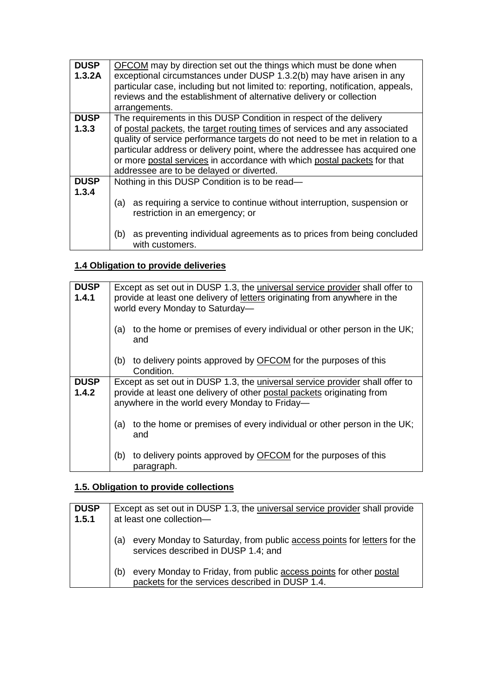| <b>DUSP</b> | <b>OFCOM</b> may by direction set out the things which must be done when                        |
|-------------|-------------------------------------------------------------------------------------------------|
| 1.3.2A      | exceptional circumstances under DUSP 1.3.2(b) may have arisen in any                            |
|             | particular case, including but not limited to: reporting, notification, appeals,                |
|             | reviews and the establishment of alternative delivery or collection                             |
|             | arrangements.                                                                                   |
| <b>DUSP</b> | The requirements in this DUSP Condition in respect of the delivery                              |
| 1.3.3       | of postal packets, the target routing times of services and any associated                      |
|             | quality of service performance targets do not need to be met in relation to a                   |
|             | particular address or delivery point, where the addressee has acquired one                      |
|             | or more postal services in accordance with which postal packets for that                        |
|             | addressee are to be delayed or diverted.                                                        |
| <b>DUSP</b> | Nothing in this DUSP Condition is to be read-                                                   |
| 1.3.4       |                                                                                                 |
|             | as requiring a service to continue without interruption, suspension or<br>(a)                   |
|             | restriction in an emergency; or                                                                 |
|             |                                                                                                 |
|             | as preventing individual agreements as to prices from being concluded<br>(b)<br>with customers. |

## **1.4 Obligation to provide deliveries**

| <b>DUSP</b><br>1.4.1 | Except as set out in DUSP 1.3, the <i>universal service provider</i> shall offer to<br>provide at least one delivery of letters originating from anywhere in the<br>world every Monday to Saturday-            |  |
|----------------------|----------------------------------------------------------------------------------------------------------------------------------------------------------------------------------------------------------------|--|
|                      | to the home or premises of every individual or other person in the UK;<br>(a)<br>and                                                                                                                           |  |
|                      | to delivery points approved by <b>OFCOM</b> for the purposes of this<br>(b)<br>Condition.                                                                                                                      |  |
| <b>DUSP</b><br>1.4.2 | Except as set out in DUSP 1.3, the <i>universal service provider</i> shall offer to<br>provide at least one delivery of other postal packets originating from<br>anywhere in the world every Monday to Friday- |  |
|                      | to the home or premises of every individual or other person in the UK;<br>(a)<br>and                                                                                                                           |  |
|                      | to delivery points approved by OFCOM for the purposes of this<br>(b)<br>paragraph.                                                                                                                             |  |

## **1.5. Obligation to provide collections**

| <b>DUSP</b><br>1.5.1 | Except as set out in DUSP 1.3, the <i>universal service provider shall provide</i><br>at least one collection-               |  |
|----------------------|------------------------------------------------------------------------------------------------------------------------------|--|
|                      | every Monday to Saturday, from public access points for letters for the<br>(a)<br>services described in DUSP 1.4; and        |  |
|                      | every Monday to Friday, from public access points for other postal<br>(b)<br>packets for the services described in DUSP 1.4. |  |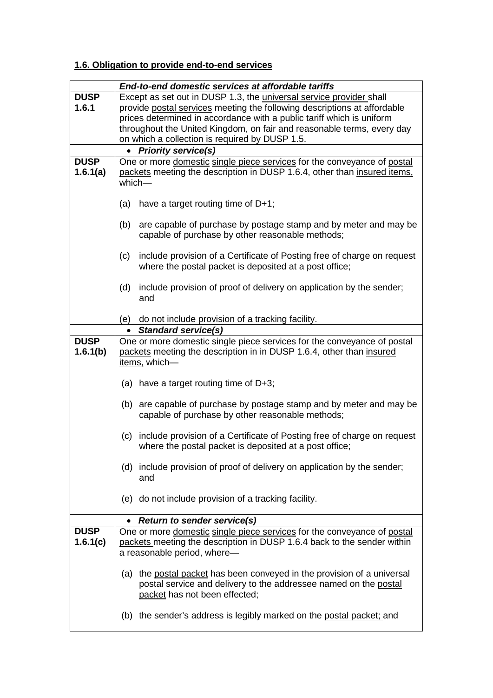## **1.6. Obligation to provide end-to-end services**

|             | End-to-end domestic services at affordable tariffs                             |
|-------------|--------------------------------------------------------------------------------|
| <b>DUSP</b> | Except as set out in DUSP 1.3, the universal service provider shall            |
| 1.6.1       | provide postal services meeting the following descriptions at affordable       |
|             | prices determined in accordance with a public tariff which is uniform          |
|             | throughout the United Kingdom, on fair and reasonable terms, every day         |
|             | on which a collection is required by DUSP 1.5.                                 |
|             | • Priority service(s)                                                          |
| <b>DUSP</b> | One or more domestic single piece services for the conveyance of postal        |
| 1.6.1(a)    | packets meeting the description in DUSP 1.6.4, other than insured items,       |
|             | which-                                                                         |
|             |                                                                                |
|             | (a)<br>have a target routing time of $D+1$ ;                                   |
|             |                                                                                |
|             | (b)<br>are capable of purchase by postage stamp and by meter and may be        |
|             | capable of purchase by other reasonable methods;                               |
|             | include provision of a Certificate of Posting free of charge on request<br>(c) |
|             | where the postal packet is deposited at a post office;                         |
|             |                                                                                |
|             | include provision of proof of delivery on application by the sender;<br>(d)    |
|             | and                                                                            |
|             |                                                                                |
|             | (e) do not include provision of a tracking facility.                           |
|             | • Standard service(s)                                                          |
| <b>DUSP</b> | One or more domestic single piece services for the conveyance of postal        |
| 1.6.1(b)    | packets meeting the description in in DUSP 1.6.4, other than insured           |
|             | items, which-                                                                  |
|             |                                                                                |
|             | (a) have a target routing time of $D+3$ ;                                      |
|             | are capable of purchase by postage stamp and by meter and may be<br>(b)        |
|             | capable of purchase by other reasonable methods;                               |
|             |                                                                                |
|             | include provision of a Certificate of Posting free of charge on request<br>(c) |
|             | where the postal packet is deposited at a post office;                         |
|             |                                                                                |
|             | (d) include provision of proof of delivery on application by the sender;       |
|             | and                                                                            |
|             |                                                                                |
|             | (e) do not include provision of a tracking facility.                           |
|             |                                                                                |
|             | • Return to sender service(s)                                                  |
| <b>DUSP</b> | One or more domestic single piece services for the conveyance of postal        |
| 1.6.1(c)    | packets meeting the description in DUSP 1.6.4 back to the sender within        |
|             | a reasonable period, where-                                                    |
|             | (a) the postal packet has been conveyed in the provision of a universal        |
|             | postal service and delivery to the addressee named on the postal               |
|             | packet has not been effected;                                                  |
|             |                                                                                |
|             | (b) the sender's address is legibly marked on the postal packet; and           |
|             |                                                                                |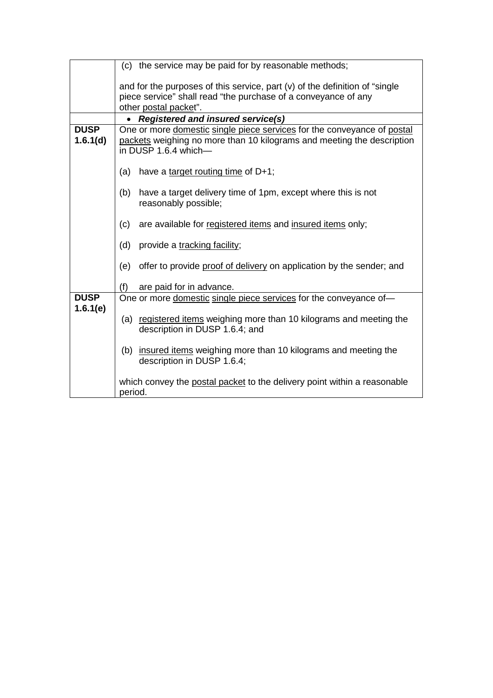|                         | (c) the service may be paid for by reasonable methods;                                                                                                                    |  |  |  |
|-------------------------|---------------------------------------------------------------------------------------------------------------------------------------------------------------------------|--|--|--|
|                         | and for the purposes of this service, part $(v)$ of the definition of "single"<br>piece service" shall read "the purchase of a conveyance of any<br>other postal packet". |  |  |  |
|                         | <b>Registered and insured service(s)</b>                                                                                                                                  |  |  |  |
| <b>DUSP</b><br>1.6.1(d) | One or more domestic single piece services for the conveyance of postal<br>packets weighing no more than 10 kilograms and meeting the description<br>in DUSP 1.6.4 which- |  |  |  |
|                         | (a)<br>have a target routing time of D+1;                                                                                                                                 |  |  |  |
|                         | (b)<br>have a target delivery time of 1pm, except where this is not<br>reasonably possible;                                                                               |  |  |  |
|                         | (c)<br>are available for registered items and insured items only;                                                                                                         |  |  |  |
|                         | (d)<br>provide a tracking facility;                                                                                                                                       |  |  |  |
|                         | (e)<br>offer to provide proof of delivery on application by the sender; and                                                                                               |  |  |  |
|                         | (f)<br>are paid for in advance.                                                                                                                                           |  |  |  |
| <b>DUSP</b>             | One or more domestic single piece services for the conveyance of-                                                                                                         |  |  |  |
| 1.6.1(e)                | (a) registered items weighing more than 10 kilograms and meeting the<br>description in DUSP 1.6.4; and                                                                    |  |  |  |
|                         | (b) insured items weighing more than 10 kilograms and meeting the<br>description in DUSP 1.6.4;                                                                           |  |  |  |
|                         | which convey the postal packet to the delivery point within a reasonable<br>period.                                                                                       |  |  |  |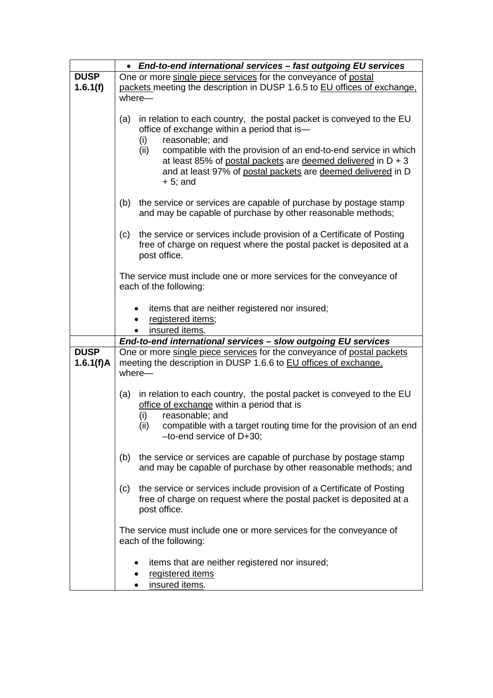|                          | • End-to-end international services - fast outgoing EU services                                                                                                                                                                                                                                                                                                                  |  |  |  |  |
|--------------------------|----------------------------------------------------------------------------------------------------------------------------------------------------------------------------------------------------------------------------------------------------------------------------------------------------------------------------------------------------------------------------------|--|--|--|--|
| <b>DUSP</b>              | One or more single piece services for the conveyance of postal                                                                                                                                                                                                                                                                                                                   |  |  |  |  |
| 1.6.1(f)                 | packets meeting the description in DUSP 1.6.5 to EU offices of exchange.<br>where-                                                                                                                                                                                                                                                                                               |  |  |  |  |
|                          | in relation to each country, the postal packet is conveyed to the EU<br>(a)<br>office of exchange within a period that is-<br>reasonable; and<br>(i)<br>compatible with the provision of an end-to-end service in which<br>(ii)<br>at least 85% of postal packets are deemed delivered in $D + 3$<br>and at least 97% of postal packets are deemed delivered in D<br>$+ 5$ ; and |  |  |  |  |
|                          | (b)<br>the service or services are capable of purchase by postage stamp<br>and may be capable of purchase by other reasonable methods;                                                                                                                                                                                                                                           |  |  |  |  |
|                          | the service or services include provision of a Certificate of Posting<br>(c)<br>free of charge on request where the postal packet is deposited at a<br>post office.                                                                                                                                                                                                              |  |  |  |  |
|                          | The service must include one or more services for the conveyance of<br>each of the following:                                                                                                                                                                                                                                                                                    |  |  |  |  |
|                          | items that are neither registered nor insured;<br>registered items;<br>insured items.                                                                                                                                                                                                                                                                                            |  |  |  |  |
|                          | End-to-end international services - slow outgoing EU services                                                                                                                                                                                                                                                                                                                    |  |  |  |  |
| <b>DUSP</b><br>1.6.1(f)A | One or more single piece services for the conveyance of postal packets<br>meeting the description in DUSP 1.6.6 to EU offices of exchange.<br>where-                                                                                                                                                                                                                             |  |  |  |  |
|                          | in relation to each country, the postal packet is conveyed to the EU<br>(a)<br>office of exchange within a period that is<br>reasonable; and<br>(i)<br>compatible with a target routing time for the provision of an end<br>(ii)                                                                                                                                                 |  |  |  |  |
|                          | $-to-end$ service of $D+30$ ;                                                                                                                                                                                                                                                                                                                                                    |  |  |  |  |
|                          | the service or services are capable of purchase by postage stamp<br>(b)<br>and may be capable of purchase by other reasonable methods; and                                                                                                                                                                                                                                       |  |  |  |  |
|                          | the service or services include provision of a Certificate of Posting<br>(c)<br>free of charge on request where the postal packet is deposited at a<br>post office.                                                                                                                                                                                                              |  |  |  |  |
|                          | The service must include one or more services for the conveyance of<br>each of the following:                                                                                                                                                                                                                                                                                    |  |  |  |  |
|                          | items that are neither registered nor insured;<br>٠<br>registered items<br>٠<br>insured items.                                                                                                                                                                                                                                                                                   |  |  |  |  |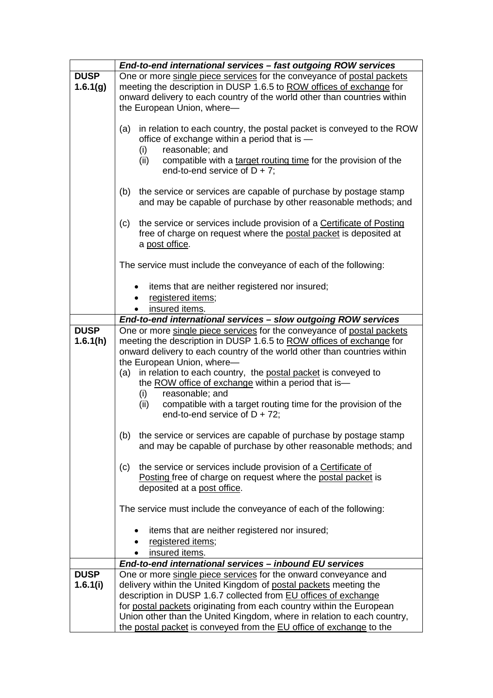|                         | End-to-end international services - fast outgoing ROW services                                                                                                                                                                                                                                    |  |  |  |  |
|-------------------------|---------------------------------------------------------------------------------------------------------------------------------------------------------------------------------------------------------------------------------------------------------------------------------------------------|--|--|--|--|
| <b>DUSP</b><br>1.6.1(g) | One or more single piece services for the conveyance of postal packets<br>meeting the description in DUSP 1.6.5 to ROW offices of exchange for<br>onward delivery to each country of the world other than countries within<br>the European Union, where-                                          |  |  |  |  |
|                         | in relation to each country, the postal packet is conveyed to the ROW<br>(a)<br>office of exchange within a period that is -<br>reasonable; and<br>(i)<br>compatible with a target routing time for the provision of the<br>(ii)<br>end-to-end service of $D + 7$ ;                               |  |  |  |  |
|                         |                                                                                                                                                                                                                                                                                                   |  |  |  |  |
|                         | (b)<br>the service or services are capable of purchase by postage stamp<br>and may be capable of purchase by other reasonable methods; and                                                                                                                                                        |  |  |  |  |
|                         | the service or services include provision of a Certificate of Posting<br>(c)<br>free of charge on request where the postal packet is deposited at<br>a post office.                                                                                                                               |  |  |  |  |
|                         | The service must include the conveyance of each of the following:                                                                                                                                                                                                                                 |  |  |  |  |
|                         | items that are neither registered nor insured;<br>registered items;<br>insured items.                                                                                                                                                                                                             |  |  |  |  |
|                         | End-to-end international services - slow outgoing ROW services                                                                                                                                                                                                                                    |  |  |  |  |
| <b>DUSP</b>             | One or more single piece services for the conveyance of postal packets                                                                                                                                                                                                                            |  |  |  |  |
| 1.6.1(h)                | meeting the description in DUSP 1.6.5 to ROW offices of exchange for<br>onward delivery to each country of the world other than countries within                                                                                                                                                  |  |  |  |  |
|                         | the European Union, where-<br>in relation to each country, the postal packet is conveyed to<br>(a)<br>the ROW office of exchange within a period that is-<br>reasonable; and<br>(i)<br>compatible with a target routing time for the provision of the<br>(ii)<br>end-to-end service of $D + 72$ ; |  |  |  |  |
|                         |                                                                                                                                                                                                                                                                                                   |  |  |  |  |
|                         | the service or services are capable of purchase by postage stamp<br>(b)<br>and may be capable of purchase by other reasonable methods; and                                                                                                                                                        |  |  |  |  |
|                         | the service or services include provision of a Certificate of<br>(c)<br>Posting free of charge on request where the postal packet is<br>deposited at a post office.                                                                                                                               |  |  |  |  |
|                         | The service must include the conveyance of each of the following:                                                                                                                                                                                                                                 |  |  |  |  |
|                         | items that are neither registered nor insured;                                                                                                                                                                                                                                                    |  |  |  |  |
|                         | registered items;                                                                                                                                                                                                                                                                                 |  |  |  |  |
|                         | insured items.<br>End-to-end international services - inbound EU services                                                                                                                                                                                                                         |  |  |  |  |
| <b>DUSP</b>             | One or more single piece services for the onward conveyance and                                                                                                                                                                                                                                   |  |  |  |  |
| 1.6.1(i)                | delivery within the United Kingdom of postal packets meeting the                                                                                                                                                                                                                                  |  |  |  |  |
|                         | description in DUSP 1.6.7 collected from EU offices of exchange                                                                                                                                                                                                                                   |  |  |  |  |
|                         | for postal packets originating from each country within the European                                                                                                                                                                                                                              |  |  |  |  |
|                         | Union other than the United Kingdom, where in relation to each country,<br>the postal packet is conveyed from the EU office of exchange to the                                                                                                                                                    |  |  |  |  |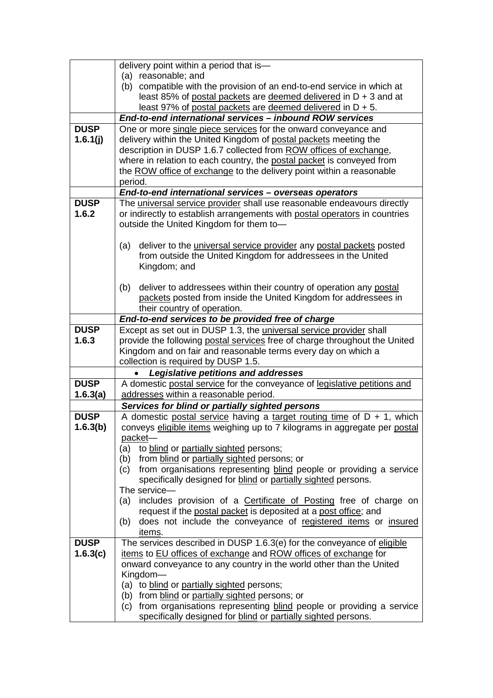|             | delivery point within a period that is-                                                                                                      |  |  |  |
|-------------|----------------------------------------------------------------------------------------------------------------------------------------------|--|--|--|
|             | (a) reasonable; and                                                                                                                          |  |  |  |
|             | (b) compatible with the provision of an end-to-end service in which at                                                                       |  |  |  |
|             | least 85% of postal packets are deemed delivered in D + 3 and at<br>least 97% of postal packets are deemed delivered in D + 5.               |  |  |  |
|             | End-to-end international services - inbound ROW services                                                                                     |  |  |  |
| <b>DUSP</b> |                                                                                                                                              |  |  |  |
| 1.6.1(j)    | One or more single piece services for the onward conveyance and<br>delivery within the United Kingdom of postal packets meeting the          |  |  |  |
|             | description in DUSP 1.6.7 collected from ROW offices of exchange,                                                                            |  |  |  |
|             | where in relation to each country, the postal packet is conveyed from                                                                        |  |  |  |
|             | the ROW office of exchange to the delivery point within a reasonable                                                                         |  |  |  |
|             | period.                                                                                                                                      |  |  |  |
|             | End-to-end international services - overseas operators                                                                                       |  |  |  |
| <b>DUSP</b> | The universal service provider shall use reasonable endeavours directly                                                                      |  |  |  |
| 1.6.2       | or indirectly to establish arrangements with postal operators in countries                                                                   |  |  |  |
|             | outside the United Kingdom for them to-                                                                                                      |  |  |  |
|             |                                                                                                                                              |  |  |  |
|             | deliver to the <i>universal service provider</i> any postal packets posted<br>(a)                                                            |  |  |  |
|             | from outside the United Kingdom for addressees in the United                                                                                 |  |  |  |
|             | Kingdom; and                                                                                                                                 |  |  |  |
|             |                                                                                                                                              |  |  |  |
|             | deliver to addressees within their country of operation any postal<br>(b)<br>packets posted from inside the United Kingdom for addressees in |  |  |  |
|             | their country of operation.                                                                                                                  |  |  |  |
|             | End-to-end services to be provided free of charge                                                                                            |  |  |  |
| <b>DUSP</b> | Except as set out in DUSP 1.3, the <i>universal service provider</i> shall                                                                   |  |  |  |
| 1.6.3       | provide the following postal services free of charge throughout the United                                                                   |  |  |  |
|             | Kingdom and on fair and reasonable terms every day on which a                                                                                |  |  |  |
|             | collection is required by DUSP 1.5.                                                                                                          |  |  |  |
|             | Legislative petitions and addresses                                                                                                          |  |  |  |
| <b>DUSP</b> | A domestic postal service for the conveyance of legislative petitions and                                                                    |  |  |  |
| 1.6.3(a)    | addresses within a reasonable period.                                                                                                        |  |  |  |
|             | Services for blind or partially sighted persons                                                                                              |  |  |  |
| <b>DUSP</b> | A domestic postal service having a target routing time of $D + 1$ , which                                                                    |  |  |  |
| 1.6.3(b)    | conveys eligible items weighing up to 7 kilograms in aggregate per postal                                                                    |  |  |  |
|             | packet-                                                                                                                                      |  |  |  |
|             | to blind or partially sighted persons;<br>(a)<br>from blind or partially sighted persons; or<br>(b)                                          |  |  |  |
|             | from organisations representing blind people or providing a service<br>(c)                                                                   |  |  |  |
|             | specifically designed for blind or partially sighted persons.                                                                                |  |  |  |
|             | The service-                                                                                                                                 |  |  |  |
|             | includes provision of a Certificate of Posting free of charge on<br>(a)                                                                      |  |  |  |
|             | request if the postal packet is deposited at a post office; and                                                                              |  |  |  |
|             | does not include the conveyance of registered items or insured<br>(b)                                                                        |  |  |  |
|             | items.                                                                                                                                       |  |  |  |
| <b>DUSP</b> | The services described in DUSP 1.6.3(e) for the conveyance of eligible                                                                       |  |  |  |
| 1.6.3(c)    | items to EU offices of exchange and ROW offices of exchange for                                                                              |  |  |  |
|             | onward conveyance to any country in the world other than the United                                                                          |  |  |  |
|             | Kingdom-<br>(a) to blind or partially sighted persons;                                                                                       |  |  |  |
|             | (b) from blind or partially sighted persons; or                                                                                              |  |  |  |
|             | (c) from organisations representing blind people or providing a service                                                                      |  |  |  |
|             | specifically designed for blind or partially sighted persons.                                                                                |  |  |  |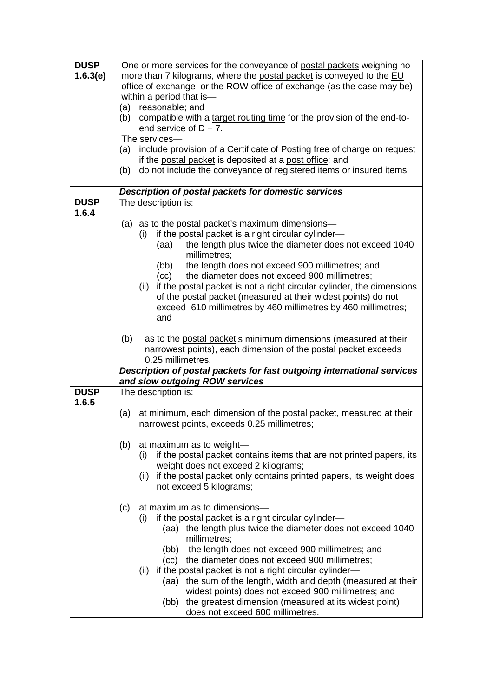| One or more services for the conveyance of postal packets weighing no<br>more than 7 kilograms, where the postal packet is conveyed to the EU<br>1.6.3(e)<br>office of exchange or the ROW office of exchange (as the case may be)<br>within a period that is-<br>(a) reasonable; and<br>compatible with a target routing time for the provision of the end-to-<br>(b)<br>end service of $D + 7$ .<br>The services-<br>include provision of a Certificate of Posting free of charge on request<br>(a)<br>if the postal packet is deposited at a post office; and<br>do not include the conveyance of registered items or insured items.<br>(b)<br>Description of postal packets for domestic services<br><b>DUSP</b><br>The description is:<br>1.6.4<br>(a) as to the postal packet's maximum dimensions—<br>if the postal packet is a right circular cylinder-<br>(i)<br>the length plus twice the diameter does not exceed 1040<br>(aa) |
|-------------------------------------------------------------------------------------------------------------------------------------------------------------------------------------------------------------------------------------------------------------------------------------------------------------------------------------------------------------------------------------------------------------------------------------------------------------------------------------------------------------------------------------------------------------------------------------------------------------------------------------------------------------------------------------------------------------------------------------------------------------------------------------------------------------------------------------------------------------------------------------------------------------------------------------------|
|                                                                                                                                                                                                                                                                                                                                                                                                                                                                                                                                                                                                                                                                                                                                                                                                                                                                                                                                           |
|                                                                                                                                                                                                                                                                                                                                                                                                                                                                                                                                                                                                                                                                                                                                                                                                                                                                                                                                           |
|                                                                                                                                                                                                                                                                                                                                                                                                                                                                                                                                                                                                                                                                                                                                                                                                                                                                                                                                           |
|                                                                                                                                                                                                                                                                                                                                                                                                                                                                                                                                                                                                                                                                                                                                                                                                                                                                                                                                           |
|                                                                                                                                                                                                                                                                                                                                                                                                                                                                                                                                                                                                                                                                                                                                                                                                                                                                                                                                           |
|                                                                                                                                                                                                                                                                                                                                                                                                                                                                                                                                                                                                                                                                                                                                                                                                                                                                                                                                           |
|                                                                                                                                                                                                                                                                                                                                                                                                                                                                                                                                                                                                                                                                                                                                                                                                                                                                                                                                           |
|                                                                                                                                                                                                                                                                                                                                                                                                                                                                                                                                                                                                                                                                                                                                                                                                                                                                                                                                           |
|                                                                                                                                                                                                                                                                                                                                                                                                                                                                                                                                                                                                                                                                                                                                                                                                                                                                                                                                           |
|                                                                                                                                                                                                                                                                                                                                                                                                                                                                                                                                                                                                                                                                                                                                                                                                                                                                                                                                           |
|                                                                                                                                                                                                                                                                                                                                                                                                                                                                                                                                                                                                                                                                                                                                                                                                                                                                                                                                           |
|                                                                                                                                                                                                                                                                                                                                                                                                                                                                                                                                                                                                                                                                                                                                                                                                                                                                                                                                           |
|                                                                                                                                                                                                                                                                                                                                                                                                                                                                                                                                                                                                                                                                                                                                                                                                                                                                                                                                           |
|                                                                                                                                                                                                                                                                                                                                                                                                                                                                                                                                                                                                                                                                                                                                                                                                                                                                                                                                           |
|                                                                                                                                                                                                                                                                                                                                                                                                                                                                                                                                                                                                                                                                                                                                                                                                                                                                                                                                           |
|                                                                                                                                                                                                                                                                                                                                                                                                                                                                                                                                                                                                                                                                                                                                                                                                                                                                                                                                           |
|                                                                                                                                                                                                                                                                                                                                                                                                                                                                                                                                                                                                                                                                                                                                                                                                                                                                                                                                           |
|                                                                                                                                                                                                                                                                                                                                                                                                                                                                                                                                                                                                                                                                                                                                                                                                                                                                                                                                           |
|                                                                                                                                                                                                                                                                                                                                                                                                                                                                                                                                                                                                                                                                                                                                                                                                                                                                                                                                           |
| millimetres:                                                                                                                                                                                                                                                                                                                                                                                                                                                                                                                                                                                                                                                                                                                                                                                                                                                                                                                              |
| the length does not exceed 900 millimetres; and<br>(bb)                                                                                                                                                                                                                                                                                                                                                                                                                                                                                                                                                                                                                                                                                                                                                                                                                                                                                   |
| the diameter does not exceed 900 millimetres;<br>(cc)                                                                                                                                                                                                                                                                                                                                                                                                                                                                                                                                                                                                                                                                                                                                                                                                                                                                                     |
| if the postal packet is not a right circular cylinder, the dimensions<br>(ii)                                                                                                                                                                                                                                                                                                                                                                                                                                                                                                                                                                                                                                                                                                                                                                                                                                                             |
| of the postal packet (measured at their widest points) do not                                                                                                                                                                                                                                                                                                                                                                                                                                                                                                                                                                                                                                                                                                                                                                                                                                                                             |
|                                                                                                                                                                                                                                                                                                                                                                                                                                                                                                                                                                                                                                                                                                                                                                                                                                                                                                                                           |
| exceed 610 millimetres by 460 millimetres by 460 millimetres;                                                                                                                                                                                                                                                                                                                                                                                                                                                                                                                                                                                                                                                                                                                                                                                                                                                                             |
| and                                                                                                                                                                                                                                                                                                                                                                                                                                                                                                                                                                                                                                                                                                                                                                                                                                                                                                                                       |
|                                                                                                                                                                                                                                                                                                                                                                                                                                                                                                                                                                                                                                                                                                                                                                                                                                                                                                                                           |
| as to the postal packet's minimum dimensions (measured at their<br>(b)                                                                                                                                                                                                                                                                                                                                                                                                                                                                                                                                                                                                                                                                                                                                                                                                                                                                    |
| narrowest points), each dimension of the postal packet exceeds                                                                                                                                                                                                                                                                                                                                                                                                                                                                                                                                                                                                                                                                                                                                                                                                                                                                            |
| 0.25 millimetres.                                                                                                                                                                                                                                                                                                                                                                                                                                                                                                                                                                                                                                                                                                                                                                                                                                                                                                                         |
| Description of postal packets for fast outgoing international services                                                                                                                                                                                                                                                                                                                                                                                                                                                                                                                                                                                                                                                                                                                                                                                                                                                                    |
| and slow outgoing ROW services                                                                                                                                                                                                                                                                                                                                                                                                                                                                                                                                                                                                                                                                                                                                                                                                                                                                                                            |
| <b>DUSP</b><br>The description is:                                                                                                                                                                                                                                                                                                                                                                                                                                                                                                                                                                                                                                                                                                                                                                                                                                                                                                        |
| 1.6.5                                                                                                                                                                                                                                                                                                                                                                                                                                                                                                                                                                                                                                                                                                                                                                                                                                                                                                                                     |
| at minimum, each dimension of the postal packet, measured at their<br>(a)                                                                                                                                                                                                                                                                                                                                                                                                                                                                                                                                                                                                                                                                                                                                                                                                                                                                 |
| narrowest points, exceeds 0.25 millimetres;                                                                                                                                                                                                                                                                                                                                                                                                                                                                                                                                                                                                                                                                                                                                                                                                                                                                                               |
|                                                                                                                                                                                                                                                                                                                                                                                                                                                                                                                                                                                                                                                                                                                                                                                                                                                                                                                                           |
| at maximum as to weight-<br>(b)                                                                                                                                                                                                                                                                                                                                                                                                                                                                                                                                                                                                                                                                                                                                                                                                                                                                                                           |
|                                                                                                                                                                                                                                                                                                                                                                                                                                                                                                                                                                                                                                                                                                                                                                                                                                                                                                                                           |
| if the postal packet contains items that are not printed papers, its<br>(i)                                                                                                                                                                                                                                                                                                                                                                                                                                                                                                                                                                                                                                                                                                                                                                                                                                                               |
| weight does not exceed 2 kilograms;                                                                                                                                                                                                                                                                                                                                                                                                                                                                                                                                                                                                                                                                                                                                                                                                                                                                                                       |
| (ii) if the postal packet only contains printed papers, its weight does                                                                                                                                                                                                                                                                                                                                                                                                                                                                                                                                                                                                                                                                                                                                                                                                                                                                   |
| not exceed 5 kilograms;                                                                                                                                                                                                                                                                                                                                                                                                                                                                                                                                                                                                                                                                                                                                                                                                                                                                                                                   |
|                                                                                                                                                                                                                                                                                                                                                                                                                                                                                                                                                                                                                                                                                                                                                                                                                                                                                                                                           |
| at maximum as to dimensions-<br>(c)                                                                                                                                                                                                                                                                                                                                                                                                                                                                                                                                                                                                                                                                                                                                                                                                                                                                                                       |
| if the postal packet is a right circular cylinder-<br>(i)                                                                                                                                                                                                                                                                                                                                                                                                                                                                                                                                                                                                                                                                                                                                                                                                                                                                                 |
| (aa) the length plus twice the diameter does not exceed 1040                                                                                                                                                                                                                                                                                                                                                                                                                                                                                                                                                                                                                                                                                                                                                                                                                                                                              |
| millimetres:                                                                                                                                                                                                                                                                                                                                                                                                                                                                                                                                                                                                                                                                                                                                                                                                                                                                                                                              |
| (bb) the length does not exceed 900 millimetres; and                                                                                                                                                                                                                                                                                                                                                                                                                                                                                                                                                                                                                                                                                                                                                                                                                                                                                      |
|                                                                                                                                                                                                                                                                                                                                                                                                                                                                                                                                                                                                                                                                                                                                                                                                                                                                                                                                           |
| (cc) the diameter does not exceed 900 millimetres;                                                                                                                                                                                                                                                                                                                                                                                                                                                                                                                                                                                                                                                                                                                                                                                                                                                                                        |
| if the postal packet is not a right circular cylinder-<br>(ii)                                                                                                                                                                                                                                                                                                                                                                                                                                                                                                                                                                                                                                                                                                                                                                                                                                                                            |
| (aa) the sum of the length, width and depth (measured at their                                                                                                                                                                                                                                                                                                                                                                                                                                                                                                                                                                                                                                                                                                                                                                                                                                                                            |
| widest points) does not exceed 900 millimetres; and                                                                                                                                                                                                                                                                                                                                                                                                                                                                                                                                                                                                                                                                                                                                                                                                                                                                                       |
| (bb) the greatest dimension (measured at its widest point)                                                                                                                                                                                                                                                                                                                                                                                                                                                                                                                                                                                                                                                                                                                                                                                                                                                                                |
| does not exceed 600 millimetres.                                                                                                                                                                                                                                                                                                                                                                                                                                                                                                                                                                                                                                                                                                                                                                                                                                                                                                          |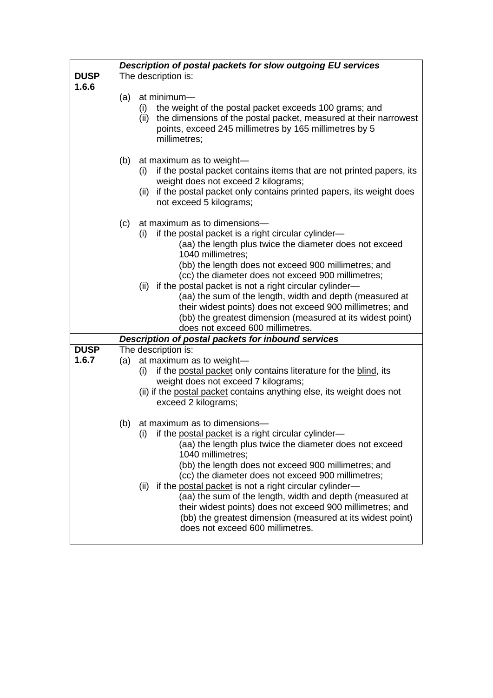|             | Description of postal packets for slow outgoing EU services                                                                                                                                                                                                                                                                                                                                                                                                                                                                                                                                 |  |  |  |
|-------------|---------------------------------------------------------------------------------------------------------------------------------------------------------------------------------------------------------------------------------------------------------------------------------------------------------------------------------------------------------------------------------------------------------------------------------------------------------------------------------------------------------------------------------------------------------------------------------------------|--|--|--|
| <b>DUSP</b> | The description is:                                                                                                                                                                                                                                                                                                                                                                                                                                                                                                                                                                         |  |  |  |
| 1.6.6       |                                                                                                                                                                                                                                                                                                                                                                                                                                                                                                                                                                                             |  |  |  |
|             | at minimum-<br>(a)<br>the weight of the postal packet exceeds 100 grams; and<br>(i)<br>the dimensions of the postal packet, measured at their narrowest<br>(ii)<br>points, exceed 245 millimetres by 165 millimetres by 5<br>millimetres;                                                                                                                                                                                                                                                                                                                                                   |  |  |  |
|             | (b)<br>at maximum as to weight-<br>if the postal packet contains items that are not printed papers, its<br>(i)<br>weight does not exceed 2 kilograms;<br>(ii) if the postal packet only contains printed papers, its weight does<br>not exceed 5 kilograms;                                                                                                                                                                                                                                                                                                                                 |  |  |  |
|             | (c)<br>at maximum as to dimensions-<br>if the postal packet is a right circular cylinder-<br>(i)<br>(aa) the length plus twice the diameter does not exceed<br>1040 millimetres;<br>(bb) the length does not exceed 900 millimetres; and<br>(cc) the diameter does not exceed 900 millimetres;<br>(ii) if the postal packet is not a right circular cylinder-<br>(aa) the sum of the length, width and depth (measured at<br>their widest points) does not exceed 900 millimetres; and<br>(bb) the greatest dimension (measured at its widest point)<br>does not exceed 600 millimetres.    |  |  |  |
|             | Description of postal packets for inbound services                                                                                                                                                                                                                                                                                                                                                                                                                                                                                                                                          |  |  |  |
| <b>DUSP</b> | The description is:                                                                                                                                                                                                                                                                                                                                                                                                                                                                                                                                                                         |  |  |  |
| 1.6.7       | at maximum as to weight-<br>(a)<br>if the postal packet only contains literature for the blind, its<br>(i)<br>weight does not exceed 7 kilograms;<br>(ii) if the postal packet contains anything else, its weight does not<br>exceed 2 kilograms;                                                                                                                                                                                                                                                                                                                                           |  |  |  |
|             | at maximum as to dimensions-<br>(b)<br>(i)<br>if the postal packet is a right circular cylinder-<br>(aa) the length plus twice the diameter does not exceed<br>1040 millimetres;<br>(bb) the length does not exceed 900 millimetres; and<br>(cc) the diameter does not exceed 900 millimetres;<br>if the postal packet is not a right circular cylinder-<br>(ii)<br>(aa) the sum of the length, width and depth (measured at<br>their widest points) does not exceed 900 millimetres; and<br>(bb) the greatest dimension (measured at its widest point)<br>does not exceed 600 millimetres. |  |  |  |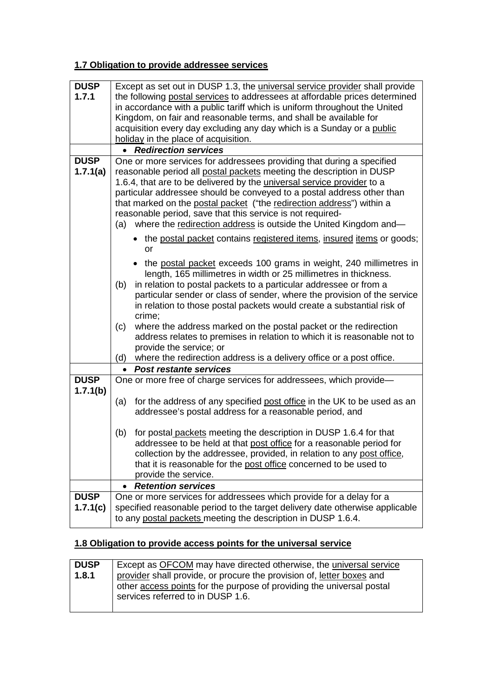## **1.7 Obligation to provide addressee services**

| <b>DUSP</b> | Except as set out in DUSP 1.3, the <i>universal service provider</i> shall provide |  |  |  |
|-------------|------------------------------------------------------------------------------------|--|--|--|
| 1.7.1       | the following postal services to addressees at affordable prices determined        |  |  |  |
|             | in accordance with a public tariff which is uniform throughout the United          |  |  |  |
|             | Kingdom, on fair and reasonable terms, and shall be available for                  |  |  |  |
|             | acquisition every day excluding any day which is a Sunday or a public              |  |  |  |
|             |                                                                                    |  |  |  |
|             | holiday in the place of acquisition.                                               |  |  |  |
|             | <b>Redirection services</b><br>$\bullet$                                           |  |  |  |
| <b>DUSP</b> | One or more services for addressees providing that during a specified              |  |  |  |
| 1.7.1(a)    | reasonable period all postal packets meeting the description in DUSP               |  |  |  |
|             | 1.6.4, that are to be delivered by the <i>universal service provider</i> to a      |  |  |  |
|             | particular addressee should be conveyed to a postal address other than             |  |  |  |
|             | that marked on the postal packet ("the redirection address") within a              |  |  |  |
|             | reasonable period, save that this service is not required-                         |  |  |  |
|             | where the redirection address is outside the United Kingdom and-<br>(a)            |  |  |  |
|             | • the postal packet contains registered items, insured items or goods;             |  |  |  |
|             | or                                                                                 |  |  |  |
|             | the postal packet exceeds 100 grams in weight, 240 millimetres in                  |  |  |  |
|             | length, 165 millimetres in width or 25 millimetres in thickness.                   |  |  |  |
|             | in relation to postal packets to a particular addressee or from a<br>(b)           |  |  |  |
|             | particular sender or class of sender, where the provision of the service           |  |  |  |
|             | in relation to those postal packets would create a substantial risk of             |  |  |  |
|             | crime;                                                                             |  |  |  |
|             | where the address marked on the postal packet or the redirection<br>(c)            |  |  |  |
|             | address relates to premises in relation to which it is reasonable not to           |  |  |  |
|             | provide the service; or                                                            |  |  |  |
|             | where the redirection address is a delivery office or a post office.<br>(d)        |  |  |  |
|             | <b>Post restante services</b><br>$\bullet$                                         |  |  |  |
| <b>DUSP</b> |                                                                                    |  |  |  |
|             | One or more free of charge services for addressees, which provide-                 |  |  |  |
| 1.7.1(b)    |                                                                                    |  |  |  |
|             | for the address of any specified post office in the UK to be used as an<br>(a)     |  |  |  |
|             | addressee's postal address for a reasonable period, and                            |  |  |  |
|             | for postal packets meeting the description in DUSP 1.6.4 for that<br>(b)           |  |  |  |
|             | addressee to be held at that post office for a reasonable period for               |  |  |  |
|             | collection by the addressee, provided, in relation to any post office,             |  |  |  |
|             | that it is reasonable for the post office concerned to be used to                  |  |  |  |
|             | provide the service.                                                               |  |  |  |
|             | <b>Retention services</b>                                                          |  |  |  |
| <b>DUSP</b> | One or more services for addressees which provide for a delay for a                |  |  |  |
|             |                                                                                    |  |  |  |
| 1.7.1(c)    | specified reasonable period to the target delivery date otherwise applicable       |  |  |  |
|             | to any postal packets meeting the description in DUSP 1.6.4.                       |  |  |  |

## **1.8 Obligation to provide access points for the universal service**

| <b>DUSP</b> | Except as OFCOM may have directed otherwise, the universal service    |  |  |  |
|-------------|-----------------------------------------------------------------------|--|--|--|
| 1.8.1       | provider shall provide, or procure the provision of, letter boxes and |  |  |  |
|             | other access points for the purpose of providing the universal postal |  |  |  |
|             | services referred to in DUSP 1.6.                                     |  |  |  |
|             |                                                                       |  |  |  |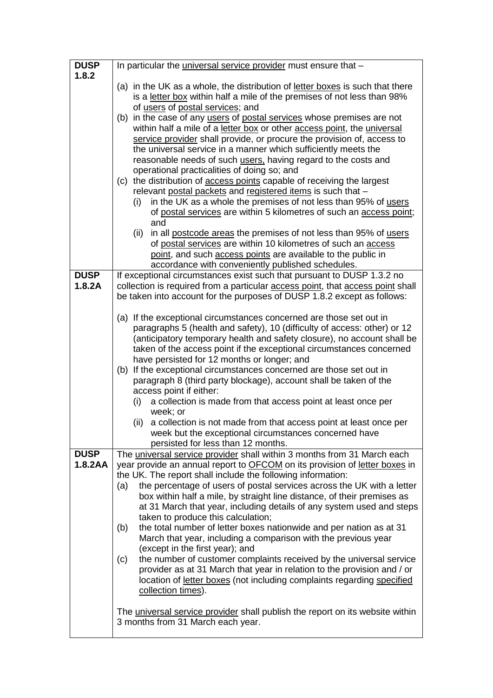| <b>DUSP</b> | In particular the universal service provider must ensure that -                                                                                                                                                                                                                                                                                                                                                                                                                  |  |  |  |  |
|-------------|----------------------------------------------------------------------------------------------------------------------------------------------------------------------------------------------------------------------------------------------------------------------------------------------------------------------------------------------------------------------------------------------------------------------------------------------------------------------------------|--|--|--|--|
| 1.8.2       |                                                                                                                                                                                                                                                                                                                                                                                                                                                                                  |  |  |  |  |
|             | (a) in the UK as a whole, the distribution of letter boxes is such that there                                                                                                                                                                                                                                                                                                                                                                                                    |  |  |  |  |
|             | is a letter box within half a mile of the premises of not less than 98%                                                                                                                                                                                                                                                                                                                                                                                                          |  |  |  |  |
|             | of users of postal services; and                                                                                                                                                                                                                                                                                                                                                                                                                                                 |  |  |  |  |
|             | (b) in the case of any users of postal services whose premises are not                                                                                                                                                                                                                                                                                                                                                                                                           |  |  |  |  |
|             | within half a mile of a letter box or other access point, the universal                                                                                                                                                                                                                                                                                                                                                                                                          |  |  |  |  |
|             | service provider shall provide, or procure the provision of, access to                                                                                                                                                                                                                                                                                                                                                                                                           |  |  |  |  |
|             | the universal service in a manner which sufficiently meets the<br>reasonable needs of such users, having regard to the costs and<br>operational practicalities of doing so; and<br>(c) the distribution of access points capable of receiving the largest<br>relevant postal packets and registered items is such that -<br>in the UK as a whole the premises of not less than 95% of users<br>(i)<br>of postal services are within 5 kilometres of such an access point;<br>and |  |  |  |  |
|             |                                                                                                                                                                                                                                                                                                                                                                                                                                                                                  |  |  |  |  |
|             |                                                                                                                                                                                                                                                                                                                                                                                                                                                                                  |  |  |  |  |
|             |                                                                                                                                                                                                                                                                                                                                                                                                                                                                                  |  |  |  |  |
|             |                                                                                                                                                                                                                                                                                                                                                                                                                                                                                  |  |  |  |  |
|             |                                                                                                                                                                                                                                                                                                                                                                                                                                                                                  |  |  |  |  |
|             |                                                                                                                                                                                                                                                                                                                                                                                                                                                                                  |  |  |  |  |
|             |                                                                                                                                                                                                                                                                                                                                                                                                                                                                                  |  |  |  |  |
|             | in all postcode areas the premises of not less than 95% of users<br>(ii)                                                                                                                                                                                                                                                                                                                                                                                                         |  |  |  |  |
|             | of postal services are within 10 kilometres of such an access                                                                                                                                                                                                                                                                                                                                                                                                                    |  |  |  |  |
|             | point, and such access points are available to the public in                                                                                                                                                                                                                                                                                                                                                                                                                     |  |  |  |  |
| <b>DUSP</b> | accordance with conveniently published schedules.<br>If exceptional circumstances exist such that pursuant to DUSP 1.3.2 no                                                                                                                                                                                                                                                                                                                                                      |  |  |  |  |
| 1.8.2A      | collection is required from a particular access point, that access point shall                                                                                                                                                                                                                                                                                                                                                                                                   |  |  |  |  |
|             | be taken into account for the purposes of DUSP 1.8.2 except as follows:                                                                                                                                                                                                                                                                                                                                                                                                          |  |  |  |  |
|             |                                                                                                                                                                                                                                                                                                                                                                                                                                                                                  |  |  |  |  |
|             | (a) If the exceptional circumstances concerned are those set out in                                                                                                                                                                                                                                                                                                                                                                                                              |  |  |  |  |
|             | paragraphs 5 (health and safety), 10 (difficulty of access: other) or 12<br>(anticipatory temporary health and safety closure), no account shall be<br>taken of the access point if the exceptional circumstances concerned<br>have persisted for 12 months or longer; and                                                                                                                                                                                                       |  |  |  |  |
|             |                                                                                                                                                                                                                                                                                                                                                                                                                                                                                  |  |  |  |  |
|             |                                                                                                                                                                                                                                                                                                                                                                                                                                                                                  |  |  |  |  |
|             |                                                                                                                                                                                                                                                                                                                                                                                                                                                                                  |  |  |  |  |
|             | (b) If the exceptional circumstances concerned are those set out in<br>paragraph 8 (third party blockage), account shall be taken of the                                                                                                                                                                                                                                                                                                                                         |  |  |  |  |
|             |                                                                                                                                                                                                                                                                                                                                                                                                                                                                                  |  |  |  |  |
|             | access point if either:<br>a collection is made from that access point at least once per<br>(i)                                                                                                                                                                                                                                                                                                                                                                                  |  |  |  |  |
|             |                                                                                                                                                                                                                                                                                                                                                                                                                                                                                  |  |  |  |  |
|             | week; or                                                                                                                                                                                                                                                                                                                                                                                                                                                                         |  |  |  |  |
|             | (ii) a collection is not made from that access point at least once per                                                                                                                                                                                                                                                                                                                                                                                                           |  |  |  |  |
|             | week but the exceptional circumstances concerned have                                                                                                                                                                                                                                                                                                                                                                                                                            |  |  |  |  |
| <b>DUSP</b> | persisted for less than 12 months.<br>The universal service provider shall within 3 months from 31 March each                                                                                                                                                                                                                                                                                                                                                                    |  |  |  |  |
| 1.8.2AA     | year provide an annual report to <b>OFCOM</b> on its provision of letter boxes in                                                                                                                                                                                                                                                                                                                                                                                                |  |  |  |  |
|             | the UK. The report shall include the following information:                                                                                                                                                                                                                                                                                                                                                                                                                      |  |  |  |  |
|             | the percentage of users of postal services across the UK with a letter<br>(a)                                                                                                                                                                                                                                                                                                                                                                                                    |  |  |  |  |
|             | box within half a mile, by straight line distance, of their premises as                                                                                                                                                                                                                                                                                                                                                                                                          |  |  |  |  |
|             | at 31 March that year, including details of any system used and steps                                                                                                                                                                                                                                                                                                                                                                                                            |  |  |  |  |
|             | taken to produce this calculation;                                                                                                                                                                                                                                                                                                                                                                                                                                               |  |  |  |  |
|             | the total number of letter boxes nationwide and per nation as at 31<br>(b)                                                                                                                                                                                                                                                                                                                                                                                                       |  |  |  |  |
|             | March that year, including a comparison with the previous year                                                                                                                                                                                                                                                                                                                                                                                                                   |  |  |  |  |
|             | (except in the first year); and                                                                                                                                                                                                                                                                                                                                                                                                                                                  |  |  |  |  |
|             | the number of customer complaints received by the universal service<br>(c)                                                                                                                                                                                                                                                                                                                                                                                                       |  |  |  |  |
|             | provider as at 31 March that year in relation to the provision and / or                                                                                                                                                                                                                                                                                                                                                                                                          |  |  |  |  |
|             | location of letter boxes (not including complaints regarding specified                                                                                                                                                                                                                                                                                                                                                                                                           |  |  |  |  |
|             | collection times).                                                                                                                                                                                                                                                                                                                                                                                                                                                               |  |  |  |  |
|             |                                                                                                                                                                                                                                                                                                                                                                                                                                                                                  |  |  |  |  |
|             | The universal service provider shall publish the report on its website within                                                                                                                                                                                                                                                                                                                                                                                                    |  |  |  |  |
|             | 3 months from 31 March each year.                                                                                                                                                                                                                                                                                                                                                                                                                                                |  |  |  |  |
|             |                                                                                                                                                                                                                                                                                                                                                                                                                                                                                  |  |  |  |  |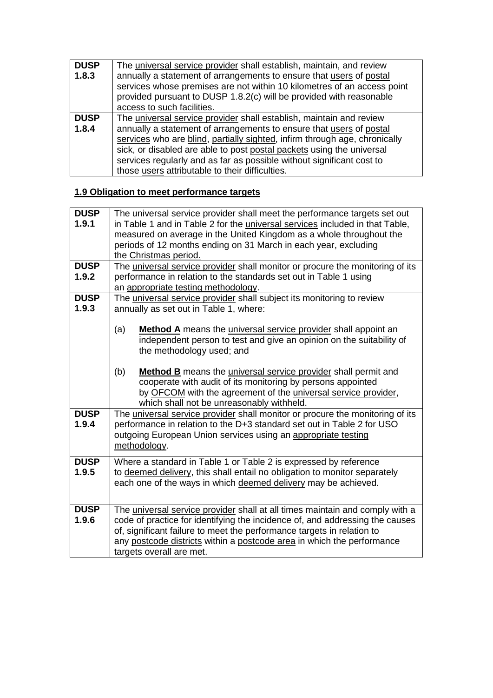| <b>DUSP</b> | The universal service provider shall establish, maintain, and review       |  |  |  |
|-------------|----------------------------------------------------------------------------|--|--|--|
| 1.8.3       | annually a statement of arrangements to ensure that users of postal        |  |  |  |
|             | services whose premises are not within 10 kilometres of an access point    |  |  |  |
|             | provided pursuant to DUSP 1.8.2(c) will be provided with reasonable        |  |  |  |
|             | access to such facilities.                                                 |  |  |  |
| <b>DUSP</b> | The universal service provider shall establish, maintain and review        |  |  |  |
| 1.8.4       | annually a statement of arrangements to ensure that users of postal        |  |  |  |
|             | services who are blind, partially sighted, infirm through age, chronically |  |  |  |
|             | sick, or disabled are able to post postal packets using the universal      |  |  |  |
|             | services regularly and as far as possible without significant cost to      |  |  |  |
|             | those users attributable to their difficulties.                            |  |  |  |

## **1.9 Obligation to meet performance targets**

| <b>DUSP</b>          | The universal service provider shall meet the performance targets set out                                                     |  |  |  |  |
|----------------------|-------------------------------------------------------------------------------------------------------------------------------|--|--|--|--|
| 1.9.1                | in Table 1 and in Table 2 for the <i>universal services</i> included in that Table,                                           |  |  |  |  |
|                      | measured on average in the United Kingdom as a whole throughout the                                                           |  |  |  |  |
|                      | periods of 12 months ending on 31 March in each year, excluding                                                               |  |  |  |  |
|                      | the Christmas period.                                                                                                         |  |  |  |  |
| <b>DUSP</b>          | The universal service provider shall monitor or procure the monitoring of its                                                 |  |  |  |  |
| 1.9.2                | performance in relation to the standards set out in Table 1 using                                                             |  |  |  |  |
|                      | an appropriate testing methodology.                                                                                           |  |  |  |  |
| <b>DUSP</b>          |                                                                                                                               |  |  |  |  |
| 1.9.3                | The universal service provider shall subject its monitoring to review                                                         |  |  |  |  |
|                      | annually as set out in Table 1, where:                                                                                        |  |  |  |  |
|                      | (a)<br><b>Method A</b> means the <i>universal service provider</i> shall appoint an                                           |  |  |  |  |
|                      |                                                                                                                               |  |  |  |  |
|                      | independent person to test and give an opinion on the suitability of                                                          |  |  |  |  |
|                      | the methodology used; and                                                                                                     |  |  |  |  |
|                      |                                                                                                                               |  |  |  |  |
|                      | (b)<br><b>Method B</b> means the <i>universal service provider</i> shall permit and                                           |  |  |  |  |
|                      | cooperate with audit of its monitoring by persons appointed<br>by OFCOM with the agreement of the universal service provider, |  |  |  |  |
|                      | which shall not be unreasonably withheld.                                                                                     |  |  |  |  |
|                      |                                                                                                                               |  |  |  |  |
| <b>DUSP</b><br>1.9.4 | The universal service provider shall monitor or procure the monitoring of its                                                 |  |  |  |  |
|                      | performance in relation to the D+3 standard set out in Table 2 for USO                                                        |  |  |  |  |
|                      | outgoing European Union services using an appropriate testing                                                                 |  |  |  |  |
|                      | methodology.                                                                                                                  |  |  |  |  |
| <b>DUSP</b>          | Where a standard in Table 1 or Table 2 is expressed by reference                                                              |  |  |  |  |
| 1.9.5                | to deemed delivery, this shall entail no obligation to monitor separately                                                     |  |  |  |  |
|                      | each one of the ways in which deemed delivery may be achieved.                                                                |  |  |  |  |
|                      |                                                                                                                               |  |  |  |  |
| <b>DUSP</b>          |                                                                                                                               |  |  |  |  |
| 1.9.6                | The universal service provider shall at all times maintain and comply with a                                                  |  |  |  |  |
|                      | code of practice for identifying the incidence of, and addressing the causes                                                  |  |  |  |  |
|                      | of, significant failure to meet the performance targets in relation to                                                        |  |  |  |  |
|                      | any postcode districts within a postcode area in which the performance                                                        |  |  |  |  |
|                      | targets overall are met.                                                                                                      |  |  |  |  |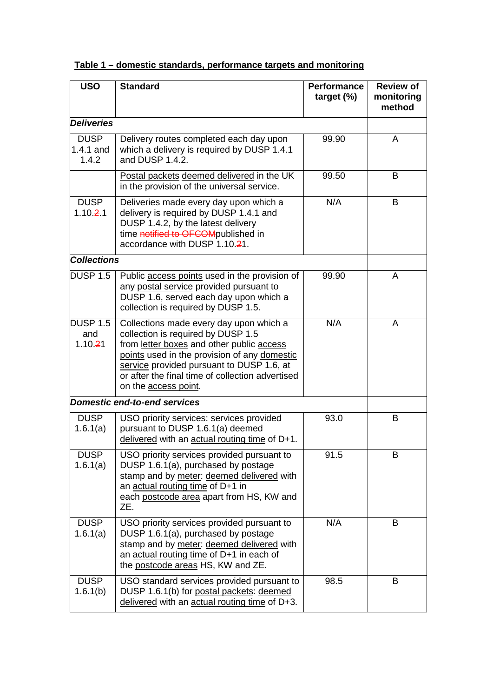| <b>USO</b>                          | <b>Standard</b>                                                                                                                                                                                                                                                                                     | <b>Performance</b><br>target $(\%)$ | <b>Review of</b><br>monitoring<br>method |
|-------------------------------------|-----------------------------------------------------------------------------------------------------------------------------------------------------------------------------------------------------------------------------------------------------------------------------------------------------|-------------------------------------|------------------------------------------|
| <b>Deliveries</b>                   |                                                                                                                                                                                                                                                                                                     |                                     |                                          |
| <b>DUSP</b><br>$1.4.1$ and<br>1.4.2 | Delivery routes completed each day upon<br>which a delivery is required by DUSP 1.4.1<br>and DUSP 1.4.2.                                                                                                                                                                                            | 99.90                               | A                                        |
|                                     | Postal packets deemed delivered in the UK<br>in the provision of the universal service.                                                                                                                                                                                                             | 99.50                               | B                                        |
| <b>DUSP</b><br>1.10.21              | Deliveries made every day upon which a<br>delivery is required by DUSP 1.4.1 and<br>DUSP 1.4.2, by the latest delivery<br>time notified to OFCOMpublished in<br>accordance with DUSP 1.10.21.                                                                                                       | N/A                                 | B                                        |
| <b>Collections</b>                  |                                                                                                                                                                                                                                                                                                     |                                     |                                          |
| <b>DUSP 1.5</b>                     | Public access points used in the provision of<br>any postal service provided pursuant to<br>DUSP 1.6, served each day upon which a<br>collection is required by DUSP 1.5.                                                                                                                           | 99.90                               | A                                        |
| <b>DUSP 1.5</b><br>and<br>1.10.21   | Collections made every day upon which a<br>collection is required by DUSP 1.5<br>from letter boxes and other public access<br>points used in the provision of any domestic<br>service provided pursuant to DUSP 1.6, at<br>or after the final time of collection advertised<br>on the access point. | N/A                                 | A                                        |
|                                     | <b>Domestic end-to-end services</b>                                                                                                                                                                                                                                                                 |                                     |                                          |
| <b>DUSP</b><br>1.6.1(a)             | USO priority services: services provided<br>pursuant to DUSP 1.6.1(a) deemed<br>delivered with an actual routing time of D+1.                                                                                                                                                                       | 93.0                                | B                                        |
| <b>DUSP</b><br>1.6.1(a)             | USO priority services provided pursuant to<br>DUSP 1.6.1(a), purchased by postage<br>stamp and by meter: deemed delivered with<br>an actual routing time of D+1 in<br>each postcode area apart from HS, KW and<br>ZE.                                                                               | 91.5                                | В                                        |
| <b>DUSP</b><br>1.6.1(a)             | USO priority services provided pursuant to<br>DUSP 1.6.1(a), purchased by postage<br>stamp and by meter: deemed delivered with<br>an actual routing time of D+1 in each of<br>the postcode areas HS, KW and ZE.                                                                                     | N/A                                 | B                                        |
| <b>DUSP</b><br>1.6.1(b)             | USO standard services provided pursuant to<br>DUSP 1.6.1(b) for postal packets: deemed<br>delivered with an actual routing time of D+3.                                                                                                                                                             | 98.5                                | В                                        |

**Table 1 – domestic standards, performance targets and monitoring**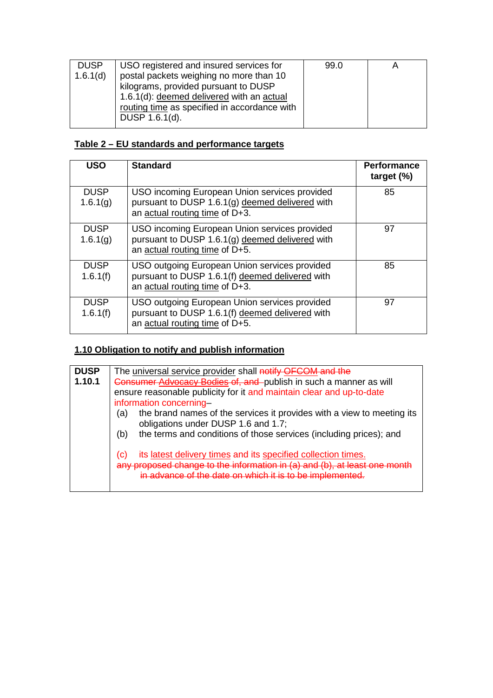| <b>DUSP</b> | USO registered and insured services for      | 99.0 | Α |
|-------------|----------------------------------------------|------|---|
| 1.6.1(d)    | postal packets weighing no more than 10      |      |   |
|             | kilograms, provided pursuant to DUSP         |      |   |
|             | 1.6.1(d): deemed delivered with an actual    |      |   |
|             | routing time as specified in accordance with |      |   |
|             | DUSP 1.6.1(d).                               |      |   |
|             |                                              |      |   |

## **Table 2 – EU standards and performance targets**

| <b>USO</b>              | <b>Standard</b>                                                                                                                       | <b>Performance</b><br>target $(\%)$ |
|-------------------------|---------------------------------------------------------------------------------------------------------------------------------------|-------------------------------------|
| <b>DUSP</b><br>1.6.1(g) | USO incoming European Union services provided<br>pursuant to DUSP 1.6.1(g) deemed delivered with<br>an actual routing time of D+3.    | 85                                  |
| <b>DUSP</b><br>1.6.1(g) | USO incoming European Union services provided<br>pursuant to DUSP 1.6.1(g) deemed delivered with<br>an actual routing time of D+5.    | 97                                  |
| <b>DUSP</b><br>1.6.1(f) | USO outgoing European Union services provided<br>pursuant to DUSP 1.6.1(f) deemed delivered with<br>an actual routing time of $D+3$ . | 85                                  |
| <b>DUSP</b><br>1.6.1(f) | USO outgoing European Union services provided<br>pursuant to DUSP 1.6.1(f) deemed delivered with<br>an actual routing time of D+5.    | 97                                  |

## **1.10 Obligation to notify and publish information**

| <b>DUSP</b> | The universal service provider shall notify OFCOM and the                                                                                                                                     |  |
|-------------|-----------------------------------------------------------------------------------------------------------------------------------------------------------------------------------------------|--|
| 1.10.1      | Consumer Advocacy Bodies of, and publish in such a manner as will                                                                                                                             |  |
|             | ensure reasonable publicity for it and maintain clear and up-to-date                                                                                                                          |  |
|             | information concerning-                                                                                                                                                                       |  |
|             | the brand names of the services it provides with a view to meeting its<br>(a)<br>obligations under DUSP 1.6 and 1.7;                                                                          |  |
|             | the terms and conditions of those services (including prices); and<br>(b)                                                                                                                     |  |
|             | its latest delivery times and its specified collection times.<br>(C)<br>sed change to the information in (a) and (b), at least one<br>in advance of the date on which it is to be implemented |  |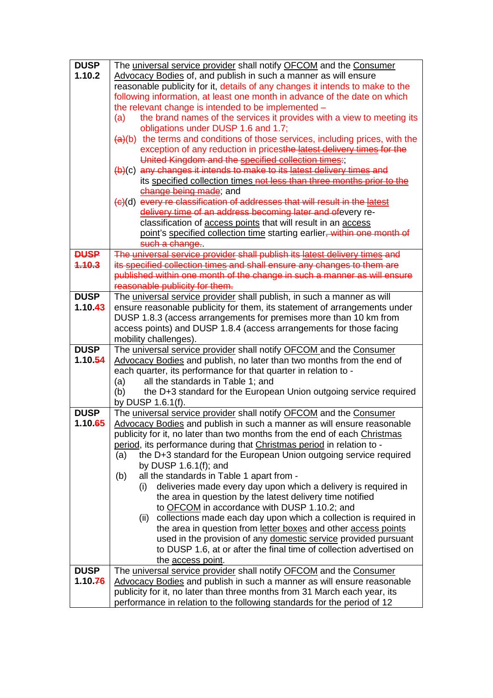| <b>DUSP</b> | The universal service provider shall notify OFCOM and the Consumer                                   |  |  |
|-------------|------------------------------------------------------------------------------------------------------|--|--|
| 1.10.2      | Advocacy Bodies of, and publish in such a manner as will ensure                                      |  |  |
|             | reasonable publicity for it, details of any changes it intends to make to the                        |  |  |
|             | following information, at least one month in advance of the date on which                            |  |  |
|             | the relevant change is intended to be implemented -                                                  |  |  |
|             | the brand names of the services it provides with a view to meeting its<br>(a)                        |  |  |
|             | obligations under DUSP 1.6 and 1.7;                                                                  |  |  |
|             | $(a)(b)$ the terms and conditions of those services, including prices, with the                      |  |  |
|             | exception of any reduction in pricesthe latest delivery times for the                                |  |  |
|             | United Kingdom and the specified collection times:;                                                  |  |  |
|             | (b)(c) any changes it intends to make to its latest delivery times and                               |  |  |
|             | its specified collection times not less than three months prior to the                               |  |  |
|             | change being made; and                                                                               |  |  |
|             | (c)(d) every re classification of addresses that will result in the latest                           |  |  |
|             | delivery time of an address becoming later and ofevery re-                                           |  |  |
|             | classification of <b>access points</b> that will result in an <b>access</b>                          |  |  |
|             | point's specified collection time starting earlier, within one month of                              |  |  |
|             | such a change.                                                                                       |  |  |
| <b>DUSP</b> | The universal service provider shall publish its latest delivery times and                           |  |  |
| 4.10.3      | its specified collection times and shall ensure any changes to them are                              |  |  |
|             | published within one month of the change in such a manner as will ensure                             |  |  |
|             | reasonable publicity for them.                                                                       |  |  |
| <b>DUSP</b> | The universal service provider shall publish, in such a manner as will                               |  |  |
| 1.10.43     | ensure reasonable publicity for them, its statement of arrangements under                            |  |  |
|             | DUSP 1.8.3 (access arrangements for premises more than 10 km from                                    |  |  |
|             | access points) and DUSP 1.8.4 (access arrangements for those facing                                  |  |  |
|             | mobility challenges).                                                                                |  |  |
| <b>DUSP</b> | The universal service provider shall notify OFCOM and the Consumer                                   |  |  |
| 1.10.54     | Advocacy Bodies and publish, no later than two months from the end of                                |  |  |
|             | each quarter, its performance for that quarter in relation to -<br>all the standards in Table 1; and |  |  |
|             | (a)<br>the D+3 standard for the European Union outgoing service required                             |  |  |
|             | (b)<br>by DUSP 1.6.1(f).                                                                             |  |  |
| <b>DUSP</b> | The universal service provider shall notify OFCOM and the Consumer                                   |  |  |
| 1.10.65     | Advocacy Bodies and publish in such a manner as will ensure reasonable                               |  |  |
|             | publicity for it, no later than two months from the end of each Christmas                            |  |  |
|             | period, its performance during that Christmas period in relation to -                                |  |  |
|             | the D+3 standard for the European Union outgoing service required<br>(a)                             |  |  |
|             | by DUSP $1.6.1(f)$ ; and                                                                             |  |  |
|             | all the standards in Table 1 apart from -<br>(b)                                                     |  |  |
|             | deliveries made every day upon which a delivery is required in<br>(i)                                |  |  |
|             | the area in question by the latest delivery time notified                                            |  |  |
|             | to OFCOM in accordance with DUSP 1.10.2; and                                                         |  |  |
|             | collections made each day upon which a collection is required in<br>(ii)                             |  |  |
|             | the area in question from letter boxes and other access points                                       |  |  |
|             | used in the provision of any domestic service provided pursuant                                      |  |  |
|             | to DUSP 1.6, at or after the final time of collection advertised on                                  |  |  |
|             | the access point.                                                                                    |  |  |
| <b>DUSP</b> | The universal service provider shall notify OFCOM and the Consumer                                   |  |  |
| 1.10.76     | Advocacy Bodies and publish in such a manner as will ensure reasonable                               |  |  |
|             | publicity for it, no later than three months from 31 March each year, its                            |  |  |
|             | performance in relation to the following standards for the period of 12                              |  |  |